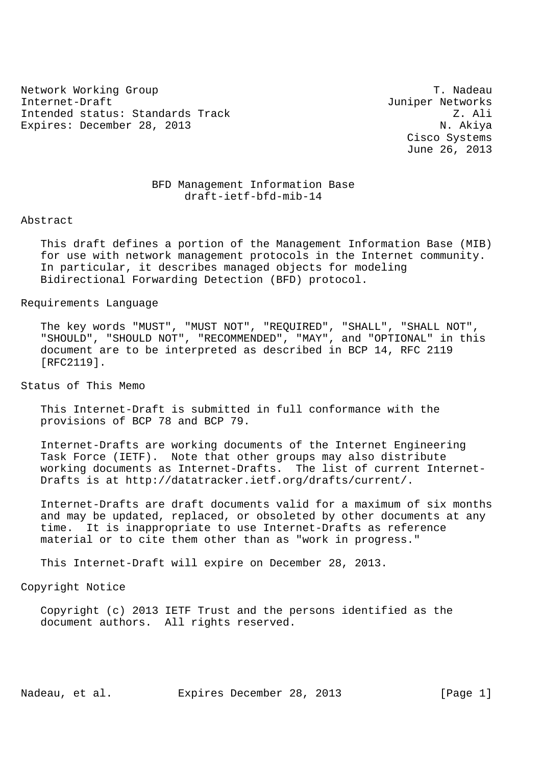Network Working Group Theory of the Contract of the Contract of the T. Nadeau Internet-Draft Juniper Networks Intended status: Standards Track Z. Ali Expires: December 28, 2013 N. Akiya

 Cisco Systems June 26, 2013

# BFD Management Information Base draft-ietf-bfd-mib-14

Abstract

 This draft defines a portion of the Management Information Base (MIB) for use with network management protocols in the Internet community. In particular, it describes managed objects for modeling Bidirectional Forwarding Detection (BFD) protocol.

Requirements Language

 The key words "MUST", "MUST NOT", "REQUIRED", "SHALL", "SHALL NOT", "SHOULD", "SHOULD NOT", "RECOMMENDED", "MAY", and "OPTIONAL" in this document are to be interpreted as described in BCP 14, RFC 2119 [RFC2119].

Status of This Memo

 This Internet-Draft is submitted in full conformance with the provisions of BCP 78 and BCP 79.

 Internet-Drafts are working documents of the Internet Engineering Task Force (IETF). Note that other groups may also distribute working documents as Internet-Drafts. The list of current Internet- Drafts is at http://datatracker.ietf.org/drafts/current/.

 Internet-Drafts are draft documents valid for a maximum of six months and may be updated, replaced, or obsoleted by other documents at any time. It is inappropriate to use Internet-Drafts as reference material or to cite them other than as "work in progress."

This Internet-Draft will expire on December 28, 2013.

Copyright Notice

 Copyright (c) 2013 IETF Trust and the persons identified as the document authors. All rights reserved.

Nadeau, et al. Expires December 28, 2013 [Page 1]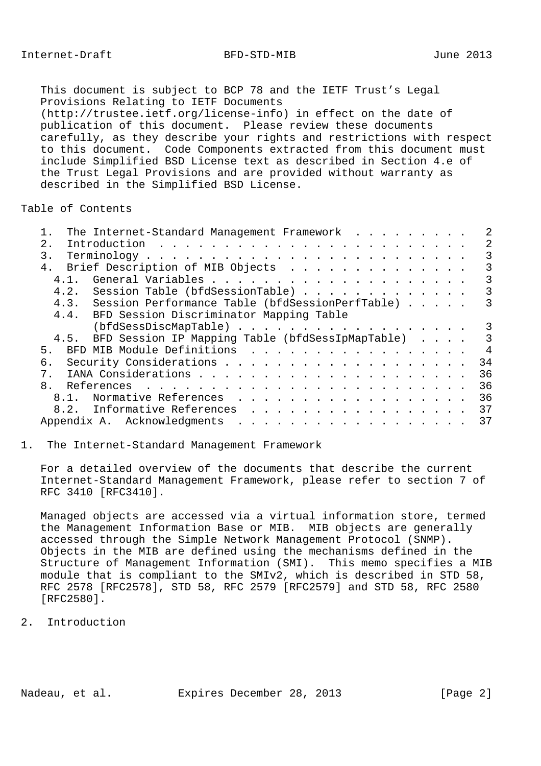This document is subject to BCP 78 and the IETF Trust's Legal Provisions Relating to IETF Documents (http://trustee.ietf.org/license-info) in effect on the date of publication of this document. Please review these documents carefully, as they describe your rights and restrictions with respect to this document. Code Components extracted from this document must include Simplified BSD License text as described in Section 4.e of the Trust Legal Provisions and are provided without warranty as described in the Simplified BSD License.

Table of Contents

| The Internet-Standard Management Framework            |                |
|-------------------------------------------------------|----------------|
| 2.1                                                   | 2              |
| $\mathbf{3}$ .                                        | 3              |
| 4. Brief Description of MIB Objects                   | 3              |
| 4, 1,                                                 | 3              |
| 4.2. Session Table (bfdSessionTable)                  | 3              |
| 4.3. Session Performance Table (bfdSessionPerfTable)  | 3              |
| 4.4. BFD Session Discriminator Mapping Table          |                |
| (bfdSessDiscMapTable)                                 | 3              |
| 4.5. BFD Session IP Mapping Table (bfdSessIpMapTable) | 3              |
| BFD MIB Module Definitions<br>5.                      | $\overline{4}$ |
| б.                                                    | 34             |
| $7_{\odot}$                                           | 36             |
| 8 <sub>1</sub>                                        | 36             |
| 8.1. Normative References                             | 36             |
| 8.2. Informative References                           | 37             |
|                                                       | 37             |
|                                                       |                |

#### 1. The Internet-Standard Management Framework

 For a detailed overview of the documents that describe the current Internet-Standard Management Framework, please refer to section 7 of RFC 3410 [RFC3410].

 Managed objects are accessed via a virtual information store, termed the Management Information Base or MIB. MIB objects are generally accessed through the Simple Network Management Protocol (SNMP). Objects in the MIB are defined using the mechanisms defined in the Structure of Management Information (SMI). This memo specifies a MIB module that is compliant to the SMIv2, which is described in STD 58, RFC 2578 [RFC2578], STD 58, RFC 2579 [RFC2579] and STD 58, RFC 2580 [RFC2580].

## 2. Introduction

Nadeau, et al. Expires December 28, 2013 [Page 2]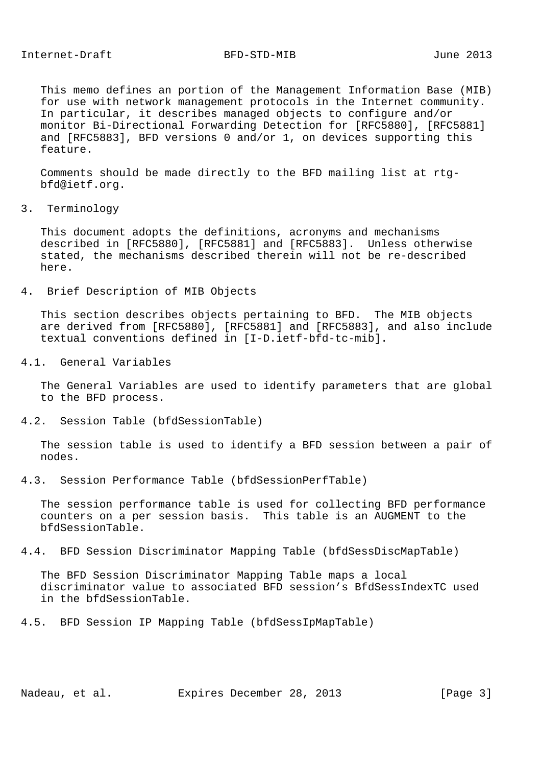This memo defines an portion of the Management Information Base (MIB) for use with network management protocols in the Internet community. In particular, it describes managed objects to configure and/or monitor Bi-Directional Forwarding Detection for [RFC5880], [RFC5881] and [RFC5883], BFD versions 0 and/or 1, on devices supporting this feature.

 Comments should be made directly to the BFD mailing list at rtg bfd@ietf.org.

3. Terminology

 This document adopts the definitions, acronyms and mechanisms described in [RFC5880], [RFC5881] and [RFC5883]. Unless otherwise stated, the mechanisms described therein will not be re-described here.

4. Brief Description of MIB Objects

 This section describes objects pertaining to BFD. The MIB objects are derived from [RFC5880], [RFC5881] and [RFC5883], and also include textual conventions defined in [I-D.ietf-bfd-tc-mib].

4.1. General Variables

 The General Variables are used to identify parameters that are global to the BFD process.

4.2. Session Table (bfdSessionTable)

 The session table is used to identify a BFD session between a pair of nodes.

4.3. Session Performance Table (bfdSessionPerfTable)

 The session performance table is used for collecting BFD performance counters on a per session basis. This table is an AUGMENT to the bfdSessionTable.

4.4. BFD Session Discriminator Mapping Table (bfdSessDiscMapTable)

 The BFD Session Discriminator Mapping Table maps a local discriminator value to associated BFD session's BfdSessIndexTC used in the bfdSessionTable.

4.5. BFD Session IP Mapping Table (bfdSessIpMapTable)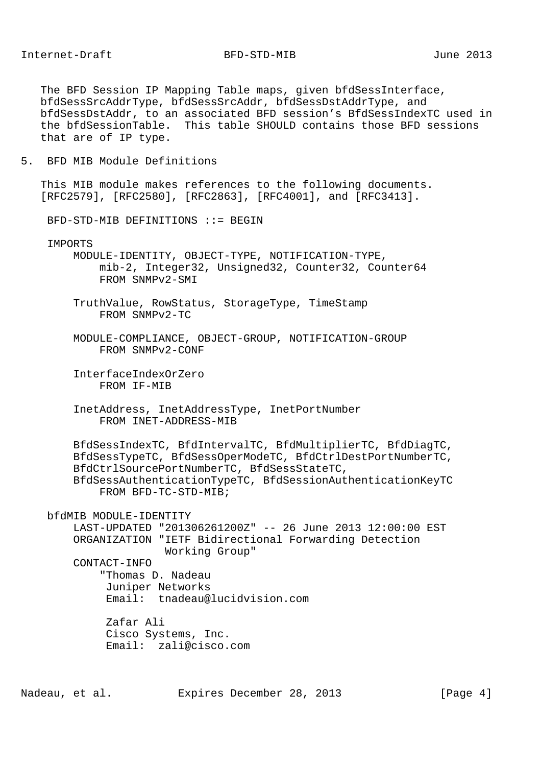The BFD Session IP Mapping Table maps, given bfdSessInterface, bfdSessSrcAddrType, bfdSessSrcAddr, bfdSessDstAddrType, and bfdSessDstAddr, to an associated BFD session's BfdSessIndexTC used in the bfdSessionTable. This table SHOULD contains those BFD sessions that are of IP type.

5. BFD MIB Module Definitions

 This MIB module makes references to the following documents. [RFC2579], [RFC2580], [RFC2863], [RFC4001], and [RFC3413].

BFD-STD-MIB DEFINITIONS ::= BEGIN

IMPORTS

 MODULE-IDENTITY, OBJECT-TYPE, NOTIFICATION-TYPE, mib-2, Integer32, Unsigned32, Counter32, Counter64 FROM SNMPv2-SMI

- TruthValue, RowStatus, StorageType, TimeStamp FROM SNMPv2-TC
- MODULE-COMPLIANCE, OBJECT-GROUP, NOTIFICATION-GROUP FROM SNMPv2-CONF
- InterfaceIndexOrZero FROM IF-MIB
- InetAddress, InetAddressType, InetPortNumber FROM INET-ADDRESS-MIB

 BfdSessIndexTC, BfdIntervalTC, BfdMultiplierTC, BfdDiagTC, BfdSessTypeTC, BfdSessOperModeTC, BfdCtrlDestPortNumberTC, BfdCtrlSourcePortNumberTC, BfdSessStateTC, BfdSessAuthenticationTypeTC, BfdSessionAuthenticationKeyTC FROM BFD-TC-STD-MIB;

bfdMIB MODULE-IDENTITY

 LAST-UPDATED "201306261200Z" -- 26 June 2013 12:00:00 EST ORGANIZATION "IETF Bidirectional Forwarding Detection Working Group"

CONTACT-INFO

 "Thomas D. Nadeau Juniper Networks Email: tnadeau@lucidvision.com

 Zafar Ali Cisco Systems, Inc. Email: zali@cisco.com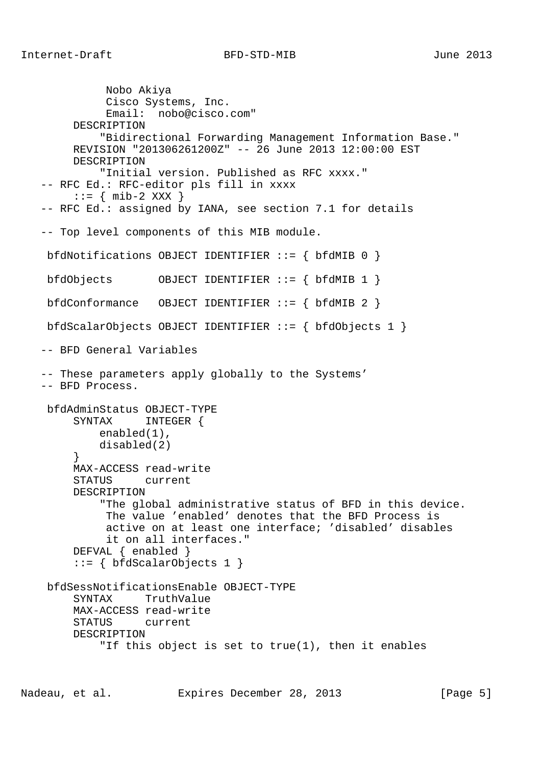```
 Nobo Akiya
              Cisco Systems, Inc.
              Email: nobo@cisco.com"
         DESCRIPTION
             "Bidirectional Forwarding Management Information Base."
        REVISION "201306261200Z" -- 26 June 2013 12:00:00 EST
        DESCRIPTION
             "Initial version. Published as RFC xxxx."
   -- RFC Ed.: RFC-editor pls fill in xxxx
      \cdot := \{ \text{min-2 XXX } \} -- RFC Ed.: assigned by IANA, see section 7.1 for details
   -- Top level components of this MIB module.
    bfdNotifications OBJECT IDENTIFIER ::= { bfdMIB 0 }
    bfdObjects OBJECT IDENTIFIER ::= { bfdMIB 1 }
    bfdConformance OBJECT IDENTIFIER ::= { bfdMIB 2 }
    bfdScalarObjects OBJECT IDENTIFIER ::= { bfdObjects 1 }
   -- BFD General Variables
   -- These parameters apply globally to the Systems'
   -- BFD Process.
    bfdAdminStatus OBJECT-TYPE
         SYNTAX INTEGER {
            enabled(1),
        disabled(2) \} }
         MAX-ACCESS read-write
         STATUS current
        DESCRIPTION
             "The global administrative status of BFD in this device.
              The value 'enabled' denotes that the BFD Process is
              active on at least one interface; 'disabled' disables
              it on all interfaces."
         DEFVAL { enabled }
        ::= \{ bfdScalarObjects 1 \} bfdSessNotificationsEnable OBJECT-TYPE
         SYNTAX TruthValue
         MAX-ACCESS read-write
         STATUS current
         DESCRIPTION
             "If this object is set to true(1), then it enables
```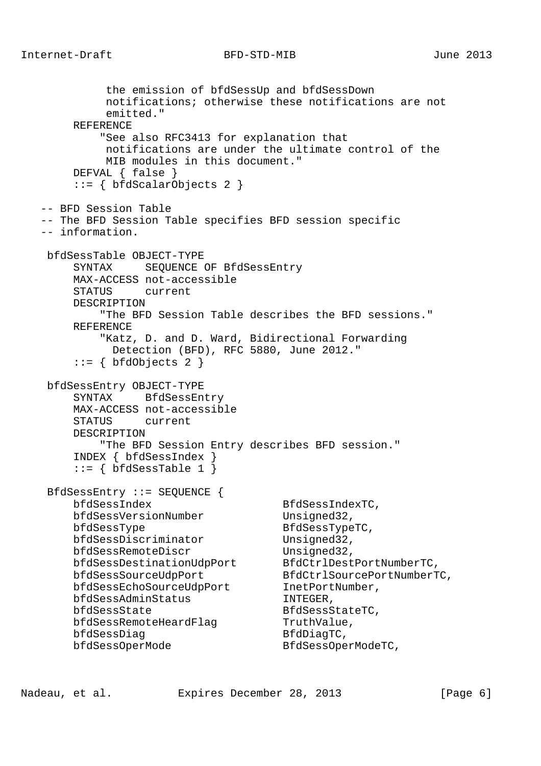the emission of bfdSessUp and bfdSessDown notifications; otherwise these notifications are not emitted." REFERENCE "See also RFC3413 for explanation that notifications are under the ultimate control of the MIB modules in this document." DEFVAL { false } ::= { bfdScalarObjects 2 } -- BFD Session Table -- The BFD Session Table specifies BFD session specific -- information. bfdSessTable OBJECT-TYPE SYNTAX SEQUENCE OF BfdSessEntry MAX-ACCESS not-accessible STATUS current DESCRIPTION "The BFD Session Table describes the BFD sessions." REFERENCE "Katz, D. and D. Ward, Bidirectional Forwarding Detection (BFD), RFC 5880, June 2012." ::= { bfdObjects 2 } bfdSessEntry OBJECT-TYPE SYNTAX BfdSessEntry MAX-ACCESS not-accessible STATUS current DESCRIPTION "The BFD Session Entry describes BFD session." INDEX { bfdSessIndex }  $::=$  { bfdSessTable 1 } BfdSessEntry ::= SEQUENCE { bfdSessIndex BfdSessIndexTC, bfdSessVersionNumber Unsigned32, bfdSessType BfdSessTypeTC, bfdSessDiscriminator Unsigned32, bfdSessRemoteDiscr Unsigned32, bfdSessDestinationUdpPort BfdCtrlDestPortNumberTC, bfdSessSourceUdpPort BfdCtrlSourcePortNumberTC, bfdSessEchoSourceUdpPort InetPortNumber, bfdSessAdminStatus INTEGER, bfdSessState BfdSessStateTC, bfdSessRemoteHeardFlag TruthValue, bfdSessDiag BfdDiagTC, bfdSessOperMode BfdSessOperModeTC,

Nadeau, et al. Expires December 28, 2013 [Page 6]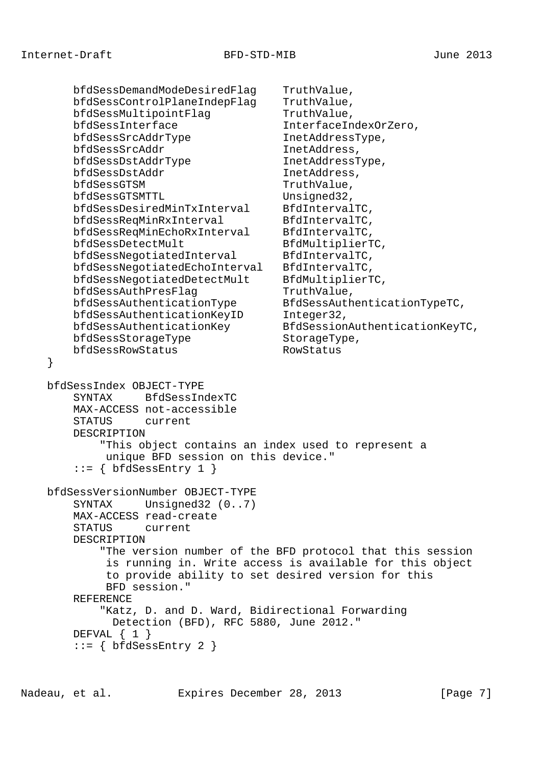}

```
 bfdSessDemandModeDesiredFlag TruthValue,
       bfdSessControlPlaneIndepFlag TruthValue,
      bfdSessMultipointFlag TruthValue,
       bfdSessInterface InterfaceIndexOrZero,
      bfdSessSrcAddrType InetAddressType,
       bfdSessSrcAddr InetAddress,
      bfdSessDstAddrType InetAddressType,
      bfdSessDstAddr InetAddress,
      bfdSessGTSM TruthValue,
      bfdSessGTSMTTL Unsigned32,
       bfdSessDesiredMinTxInterval BfdIntervalTC,
      bfdSessReqMinRxInterval BfdIntervalTC,
       bfdSessReqMinEchoRxInterval BfdIntervalTC,
      bfdSessDetectMult BfdMultiplierTC,
      bfdSessNegotiatedInterval BfdIntervalTC,
       bfdSessNegotiatedEchoInterval BfdIntervalTC,
       bfdSessNegotiatedDetectMult BfdMultiplierTC,
      bfdSessAuthPresFlag TruthValue,
 bfdSessAuthenticationType BfdSessAuthenticationTypeTC,
bfdSessAuthenticationKeyID Integer32,
 bfdSessAuthenticationKey BfdSessionAuthenticationKeyTC,
bfdSessStorageType StorageType,
       bfdSessRowStatus RowStatus
    bfdSessIndex OBJECT-TYPE
       SYNTAX BfdSessIndexTC
       MAX-ACCESS not-accessible
       STATUS current
       DESCRIPTION
           "This object contains an index used to represent a
           unique BFD session on this device."
      ::= { bfdSessEntry 1 }
    bfdSessVersionNumber OBJECT-TYPE
      SYNTAX Unsigned32 (0..7)
       MAX-ACCESS read-create
       STATUS current
       DESCRIPTION
           "The version number of the BFD protocol that this session
            is running in. Write access is available for this object
            to provide ability to set desired version for this
            BFD session."
       REFERENCE
           "Katz, D. and D. Ward, Bidirectional Forwarding
            Detection (BFD), RFC 5880, June 2012."
      DEFVAL \{ 1 \} ::= { bfdSessEntry 2 }
```
Nadeau, et al. Expires December 28, 2013 [Page 7]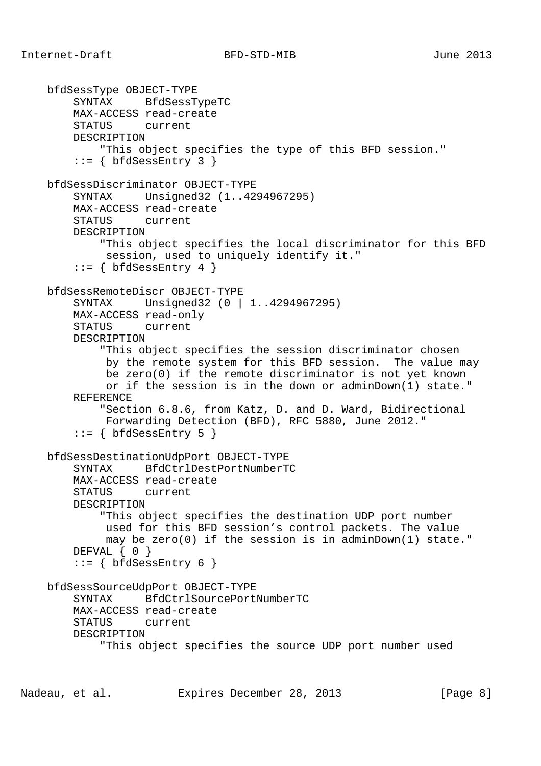```
 bfdSessType OBJECT-TYPE
     SYNTAX BfdSessTypeTC
     MAX-ACCESS read-create
     STATUS current
     DESCRIPTION
         "This object specifies the type of this BFD session."
    ::= { bfdSessEntry 3 }
 bfdSessDiscriminator OBJECT-TYPE
     SYNTAX Unsigned32 (1..4294967295)
     MAX-ACCESS read-create
     STATUS current
     DESCRIPTION
         "This object specifies the local discriminator for this BFD
          session, used to uniquely identify it."
    ::= { bfdSessEntry 4 }
 bfdSessRemoteDiscr OBJECT-TYPE
     SYNTAX Unsigned32 (0 | 1..4294967295)
     MAX-ACCESS read-only
     STATUS current
     DESCRIPTION
         "This object specifies the session discriminator chosen
          by the remote system for this BFD session. The value may
          be zero(0) if the remote discriminator is not yet known
          or if the session is in the down or adminDown(1) state."
     REFERENCE
         "Section 6.8.6, from Katz, D. and D. Ward, Bidirectional
          Forwarding Detection (BFD), RFC 5880, June 2012."
    ::= { bfdSessEntry 5 }
 bfdSessDestinationUdpPort OBJECT-TYPE
     SYNTAX BfdCtrlDestPortNumberTC
     MAX-ACCESS read-create
     STATUS current
     DESCRIPTION
         "This object specifies the destination UDP port number
          used for this BFD session's control packets. The value
          may be zero(0) if the session is in adminDown(1) state."
    DEFVAL \{ 0 \}::= { bfdSessEntry 6 }
 bfdSessSourceUdpPort OBJECT-TYPE
     SYNTAX BfdCtrlSourcePortNumberTC
     MAX-ACCESS read-create
     STATUS current
     DESCRIPTION
         "This object specifies the source UDP port number used
```
Nadeau, et al. Expires December 28, 2013 [Page 8]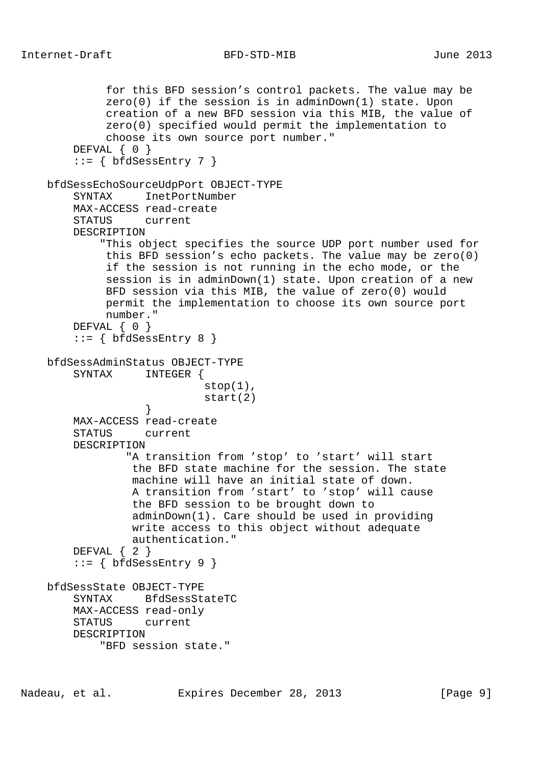```
 for this BFD session's control packets. The value may be
              zero(0) if the session is in adminDown(1) state. Upon
             creation of a new BFD session via this MIB, the value of
             zero(0) specified would permit the implementation to
             choose its own source port number."
       DEFVAL { 0 }
       ::= { bfdSessEntry 7 }
    bfdSessEchoSourceUdpPort OBJECT-TYPE
       SYNTAX InetPortNumber
        MAX-ACCESS read-create
        STATUS current
        DESCRIPTION
             "This object specifies the source UDP port number used for
             this BFD session's echo packets. The value may be zero(0)
             if the session is not running in the echo mode, or the
             session is in adminDown(1) state. Upon creation of a new
             BFD session via this MIB, the value of zero(0) would
             permit the implementation to choose its own source port
             number."
       DEFVAL { 0 }
       ::= { bfdSessEntry 8 }
    bfdSessAdminStatus OBJECT-TYPE
        SYNTAX INTEGER {
                            stop(1),
                             start(2)
 }
        MAX-ACCESS read-create
        STATUS current
        DESCRIPTION
                 "A transition from 'stop' to 'start' will start
                 the BFD state machine for the session. The state
                 machine will have an initial state of down.
                 A transition from 'start' to 'stop' will cause
                 the BFD session to be brought down to
                 adminDown(1). Care should be used in providing
                 write access to this object without adequate
                 authentication."
        DEFVAL { 2 }
       ::= { bfdSessEntry 9 }
    bfdSessState OBJECT-TYPE
        SYNTAX BfdSessStateTC
        MAX-ACCESS read-only
        STATUS current
        DESCRIPTION
            "BFD session state."
```

```
Nadeau, et al. Expires December 28, 2013 [Page 9]
```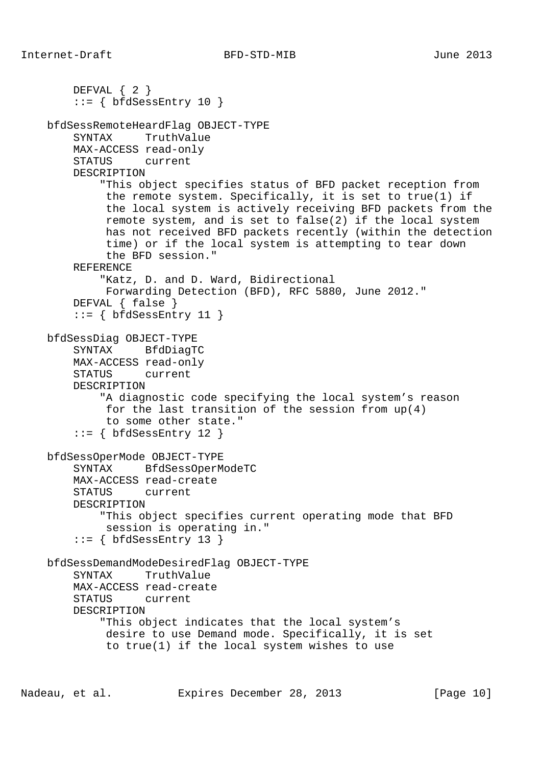```
 DEFVAL { 2 }
    ::= { bfdSessEntry 10 }
 bfdSessRemoteHeardFlag OBJECT-TYPE
     SYNTAX TruthValue
     MAX-ACCESS read-only
     STATUS current
     DESCRIPTION
         "This object specifies status of BFD packet reception from
          the remote system. Specifically, it is set to true(1) if
          the local system is actively receiving BFD packets from the
          remote system, and is set to false(2) if the local system
          has not received BFD packets recently (within the detection
          time) or if the local system is attempting to tear down
          the BFD session."
     REFERENCE
         "Katz, D. and D. Ward, Bidirectional
          Forwarding Detection (BFD), RFC 5880, June 2012."
     DEFVAL { false }
    ::= { bfdSessEntry 11 }
 bfdSessDiag OBJECT-TYPE
     SYNTAX BfdDiagTC
     MAX-ACCESS read-only
     STATUS current
     DESCRIPTION
         "A diagnostic code specifying the local system's reason
          for the last transition of the session from up(4)
          to some other state."
    ::= { bfdSessEntry 12 }
 bfdSessOperMode OBJECT-TYPE
     SYNTAX BfdSessOperModeTC
     MAX-ACCESS read-create
     STATUS current
     DESCRIPTION
         "This object specifies current operating mode that BFD
         session is operating in."
    ::= { bfdSessEntry 13 }
 bfdSessDemandModeDesiredFlag OBJECT-TYPE
     SYNTAX TruthValue
     MAX-ACCESS read-create
     STATUS current
     DESCRIPTION
         "This object indicates that the local system's
          desire to use Demand mode. Specifically, it is set
          to true(1) if the local system wishes to use
```
Nadeau, et al. Expires December 28, 2013 [Page 10]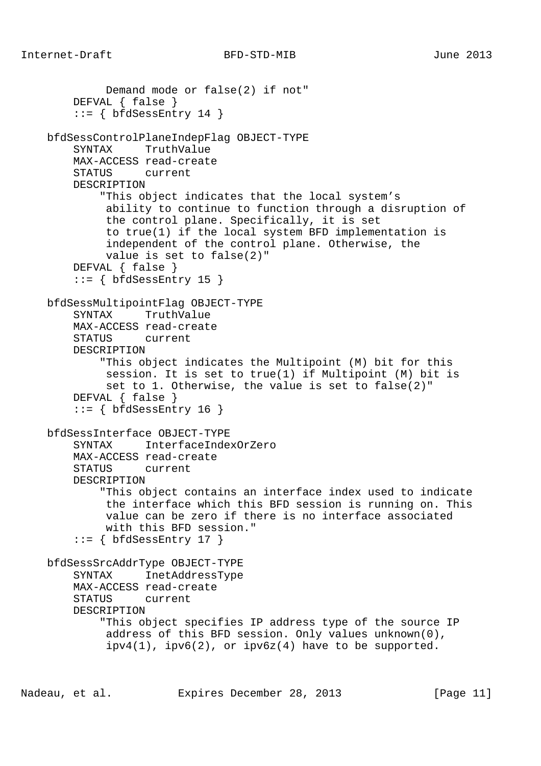```
 Demand mode or false(2) if not"
     DEFVAL { false }
    ::= { bfdSessEntry 14 }
 bfdSessControlPlaneIndepFlag OBJECT-TYPE
     SYNTAX TruthValue
     MAX-ACCESS read-create
     STATUS current
     DESCRIPTION
         "This object indicates that the local system's
          ability to continue to function through a disruption of
          the control plane. Specifically, it is set
          to true(1) if the local system BFD implementation is
          independent of the control plane. Otherwise, the
          value is set to false(2)"
     DEFVAL { false }
    ::= { bfdSessEntry 15 }
 bfdSessMultipointFlag OBJECT-TYPE
     SYNTAX TruthValue
     MAX-ACCESS read-create
     STATUS current
     DESCRIPTION
         "This object indicates the Multipoint (M) bit for this
         session. It is set to true(1) if Multipoint (M) bit is
         set to 1. Otherwise, the value is set to false(2)"
     DEFVAL { false }
    ::= { bfdSessEntry 16 }
 bfdSessInterface OBJECT-TYPE
     SYNTAX InterfaceIndexOrZero
     MAX-ACCESS read-create
     STATUS current
     DESCRIPTION
         "This object contains an interface index used to indicate
          the interface which this BFD session is running on. This
          value can be zero if there is no interface associated
         with this BFD session."
    ::= { bfdSessEntry 17 }
 bfdSessSrcAddrType OBJECT-TYPE
     SYNTAX InetAddressType
     MAX-ACCESS read-create
     STATUS current
     DESCRIPTION
         "This object specifies IP address type of the source IP
          address of this BFD session. Only values unknown(0),
         ipv4(1), ipv6(2), or ipv6z(4) have to be supported.
```
Nadeau, et al. **Expires December 28, 2013** [Page 11]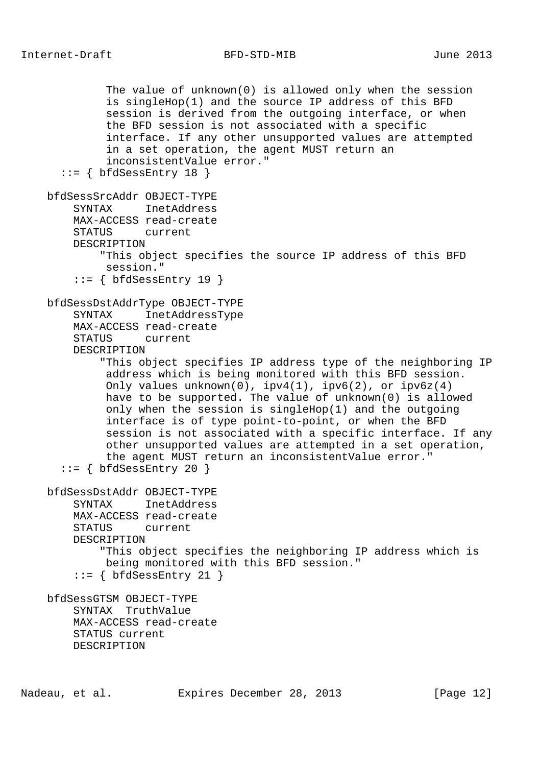```
 The value of unknown(0) is allowed only when the session
          is singleHop(1) and the source IP address of this BFD
          session is derived from the outgoing interface, or when
          the BFD session is not associated with a specific
          interface. If any other unsupported values are attempted
          in a set operation, the agent MUST return an
          inconsistentValue error."
  ::= { bfdSessEntry 18 }
 bfdSessSrcAddr OBJECT-TYPE
     SYNTAX InetAddress
     MAX-ACCESS read-create
     STATUS current
     DESCRIPTION
         "This object specifies the source IP address of this BFD
         session."
    ::= { bfdSessEntry 19 }
 bfdSessDstAddrType OBJECT-TYPE
     SYNTAX InetAddressType
     MAX-ACCESS read-create
     STATUS current
     DESCRIPTION
         "This object specifies IP address type of the neighboring IP
          address which is being monitored with this BFD session.
         Only values unknown(0), ipv4(1), ipv6(2), or ipv6z(4) have to be supported. The value of unknown(0) is allowed
          only when the session is singleHop(1) and the outgoing
          interface is of type point-to-point, or when the BFD
          session is not associated with a specific interface. If any
          other unsupported values are attempted in a set operation,
          the agent MUST return an inconsistentValue error."
  ::= { bfdSessEntry 20 }
 bfdSessDstAddr OBJECT-TYPE
     SYNTAX InetAddress
     MAX-ACCESS read-create
     STATUS current
     DESCRIPTION
         "This object specifies the neighboring IP address which is
          being monitored with this BFD session."
     ::= { bfdSessEntry 21 }
 bfdSessGTSM OBJECT-TYPE
     SYNTAX TruthValue
     MAX-ACCESS read-create
     STATUS current
     DESCRIPTION
```
Nadeau, et al. **Expires December 28, 2013** [Page 12]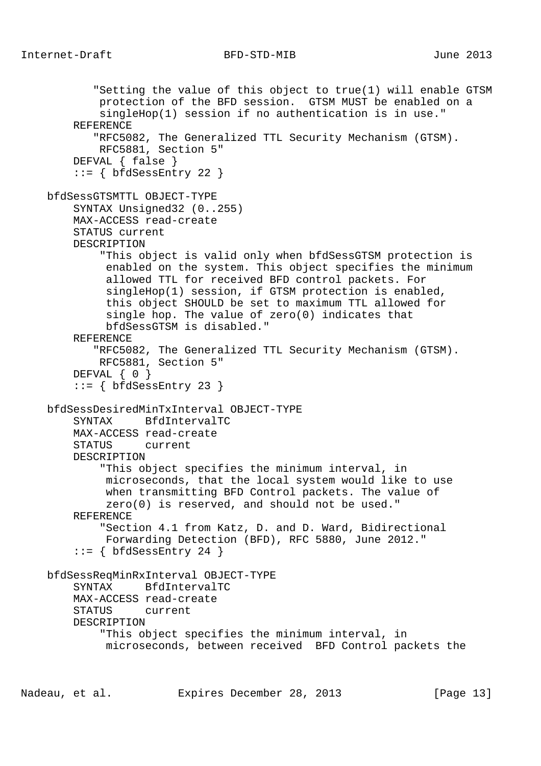```
 "Setting the value of this object to true(1) will enable GTSM
         protection of the BFD session. GTSM MUST be enabled on a
         singleHop(1) session if no authentication is in use."
     REFERENCE
        "RFC5082, The Generalized TTL Security Mechanism (GTSM).
         RFC5881, Section 5"
     DEFVAL { false }
    ::= { bfdSessEntry 22 }
 bfdSessGTSMTTL OBJECT-TYPE
     SYNTAX Unsigned32 (0..255)
     MAX-ACCESS read-create
     STATUS current
     DESCRIPTION
         "This object is valid only when bfdSessGTSM protection is
          enabled on the system. This object specifies the minimum
          allowed TTL for received BFD control packets. For
          singleHop(1) session, if GTSM protection is enabled,
          this object SHOULD be set to maximum TTL allowed for
          single hop. The value of zero(0) indicates that
          bfdSessGTSM is disabled."
     REFERENCE
        "RFC5082, The Generalized TTL Security Mechanism (GTSM).
         RFC5881, Section 5"
     DEFVAL { 0 }
    ::= { bfdSessEntry 23 }
 bfdSessDesiredMinTxInterval OBJECT-TYPE
     SYNTAX BfdIntervalTC
     MAX-ACCESS read-create
     STATUS current
     DESCRIPTION
         "This object specifies the minimum interval, in
          microseconds, that the local system would like to use
          when transmitting BFD Control packets. The value of
          zero(0) is reserved, and should not be used."
     REFERENCE
         "Section 4.1 from Katz, D. and D. Ward, Bidirectional
         Forwarding Detection (BFD), RFC 5880, June 2012."
    ::= { bfdSessEntry 24 }
 bfdSessReqMinRxInterval OBJECT-TYPE
     SYNTAX BfdIntervalTC
     MAX-ACCESS read-create
     STATUS current
     DESCRIPTION
         "This object specifies the minimum interval, in
          microseconds, between received BFD Control packets the
```
Nadeau, et al. **Expires December 28, 2013** [Page 13]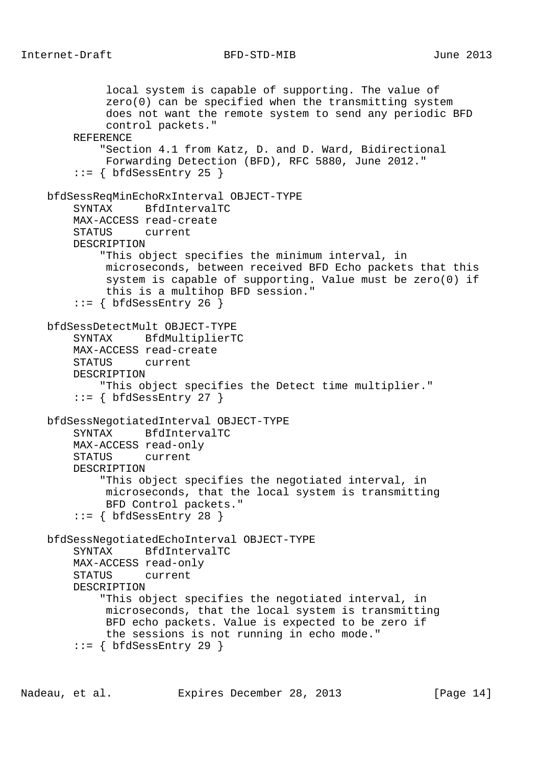local system is capable of supporting. The value of zero(0) can be specified when the transmitting system does not want the remote system to send any periodic BFD control packets." REFERENCE "Section 4.1 from Katz, D. and D. Ward, Bidirectional Forwarding Detection (BFD), RFC 5880, June 2012."  $::=$  { bfdSessEntry 25 } bfdSessReqMinEchoRxInterval OBJECT-TYPE SYNTAX BfdIntervalTC MAX-ACCESS read-create STATUS current DESCRIPTION "This object specifies the minimum interval, in microseconds, between received BFD Echo packets that this system is capable of supporting. Value must be zero(0) if this is a multihop BFD session."  $::=$  { bfdSessEntry 26 } bfdSessDetectMult OBJECT-TYPE SYNTAX BfdMultiplierTC MAX-ACCESS read-create STATUS current DESCRIPTION "This object specifies the Detect time multiplier."  $::=$  { bfdSessEntry 27 } bfdSessNegotiatedInterval OBJECT-TYPE SYNTAX BfdIntervalTC MAX-ACCESS read-only STATUS current DESCRIPTION "This object specifies the negotiated interval, in microseconds, that the local system is transmitting BFD Control packets."  $::=$  { bfdSessEntry 28 } bfdSessNegotiatedEchoInterval OBJECT-TYPE SYNTAX BfdIntervalTC MAX-ACCESS read-only STATUS current DESCRIPTION "This object specifies the negotiated interval, in microseconds, that the local system is transmitting BFD echo packets. Value is expected to be zero if the sessions is not running in echo mode."  $::=$  { bfdSessEntry 29 }

Nadeau, et al. **Expires December 28, 2013** [Page 14]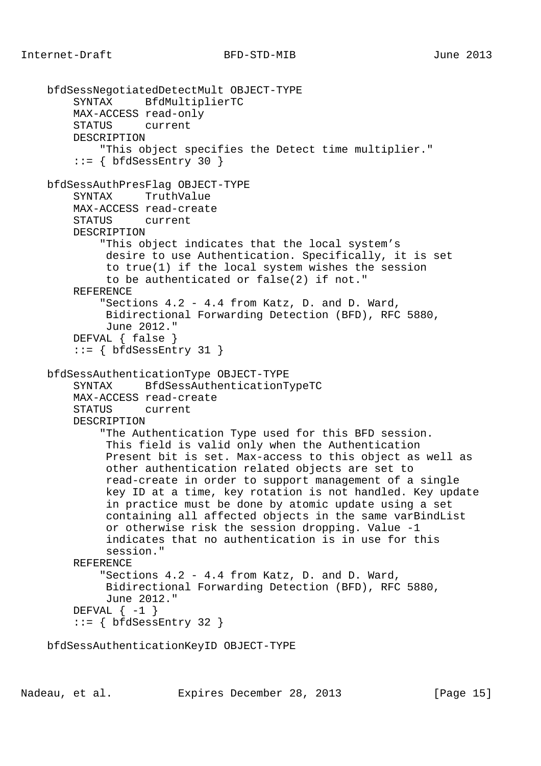```
 bfdSessNegotiatedDetectMult OBJECT-TYPE
     SYNTAX BfdMultiplierTC
     MAX-ACCESS read-only
     STATUS current
     DESCRIPTION
         "This object specifies the Detect time multiplier."
    ::= { bfdSessEntry 30 }
 bfdSessAuthPresFlag OBJECT-TYPE
     SYNTAX TruthValue
     MAX-ACCESS read-create
     STATUS current
     DESCRIPTION
         "This object indicates that the local system's
          desire to use Authentication. Specifically, it is set
          to true(1) if the local system wishes the session
          to be authenticated or false(2) if not."
     REFERENCE
         "Sections 4.2 - 4.4 from Katz, D. and D. Ward,
          Bidirectional Forwarding Detection (BFD), RFC 5880,
          June 2012."
     DEFVAL { false }
    ::= { bfdSessEntry 31 }
 bfdSessAuthenticationType OBJECT-TYPE
     SYNTAX BfdSessAuthenticationTypeTC
     MAX-ACCESS read-create
     STATUS current
     DESCRIPTION
         "The Authentication Type used for this BFD session.
          This field is valid only when the Authentication
          Present bit is set. Max-access to this object as well as
          other authentication related objects are set to
          read-create in order to support management of a single
          key ID at a time, key rotation is not handled. Key update
          in practice must be done by atomic update using a set
          containing all affected objects in the same varBindList
          or otherwise risk the session dropping. Value -1
          indicates that no authentication is in use for this
          session."
     REFERENCE
         "Sections 4.2 - 4.4 from Katz, D. and D. Ward,
          Bidirectional Forwarding Detection (BFD), RFC 5880,
          June 2012."
    DEFVAL \{-1\}::= { bfdSessEntry 32 }
```
bfdSessAuthenticationKeyID OBJECT-TYPE

Nadeau, et al. **Expires December 28, 2013** [Page 15]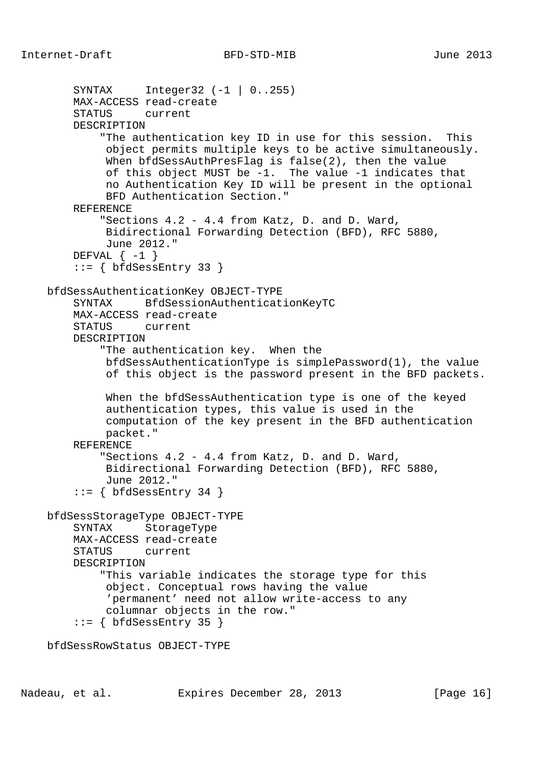```
 SYNTAX Integer32 (-1 | 0..255)
     MAX-ACCESS read-create
     STATUS current
     DESCRIPTION
         "The authentication key ID in use for this session. This
          object permits multiple keys to be active simultaneously.
          When bfdSessAuthPresFlag is false(2), then the value
          of this object MUST be -1. The value -1 indicates that
          no Authentication Key ID will be present in the optional
          BFD Authentication Section."
     REFERENCE
         "Sections 4.2 - 4.4 from Katz, D. and D. Ward,
          Bidirectional Forwarding Detection (BFD), RFC 5880,
          June 2012."
    DEFVAL \{-1\} ::= { bfdSessEntry 33 }
 bfdSessAuthenticationKey OBJECT-TYPE
     SYNTAX BfdSessionAuthenticationKeyTC
     MAX-ACCESS read-create
     STATUS current
     DESCRIPTION
         "The authentication key. When the
          bfdSessAuthenticationType is simplePassword(1), the value
          of this object is the password present in the BFD packets.
          When the bfdSessAuthentication type is one of the keyed
          authentication types, this value is used in the
          computation of the key present in the BFD authentication
          packet."
     REFERENCE
         "Sections 4.2 - 4.4 from Katz, D. and D. Ward,
          Bidirectional Forwarding Detection (BFD), RFC 5880,
          June 2012."
    ::= { bfdSessEntry 34 }
 bfdSessStorageType OBJECT-TYPE
     SYNTAX StorageType
     MAX-ACCESS read-create
     STATUS current
     DESCRIPTION
         "This variable indicates the storage type for this
          object. Conceptual rows having the value
          'permanent' need not allow write-access to any
          columnar objects in the row."
    ::= { bfdSessEntry 35 }
 bfdSessRowStatus OBJECT-TYPE
```
Nadeau, et al. **Expires December 28, 2013** [Page 16]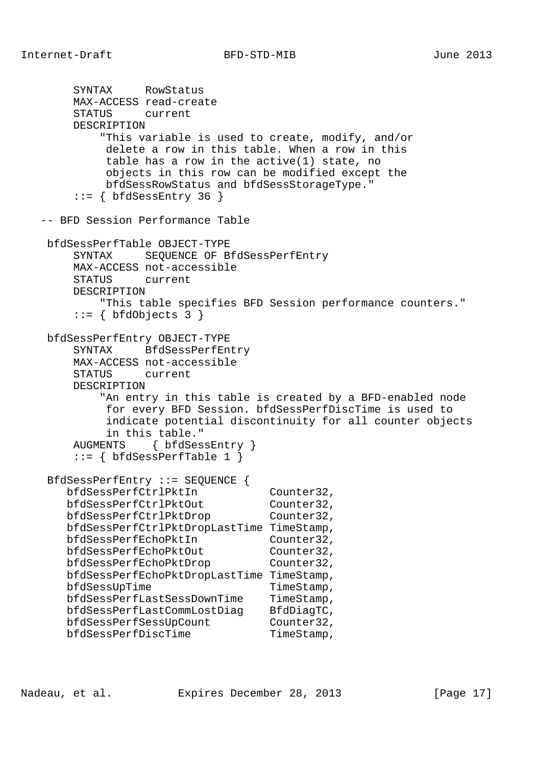```
 SYNTAX RowStatus
        MAX-ACCESS read-create
        STATUS current
        DESCRIPTION
            "This variable is used to create, modify, and/or
            delete a row in this table. When a row in this
            table has a row in the active(1) state, no
            objects in this row can be modified except the
            bfdSessRowStatus and bfdSessStorageType."
       ::= { bfdSessEntry 36 }
   -- BFD Session Performance Table
    bfdSessPerfTable OBJECT-TYPE
        SYNTAX SEQUENCE OF BfdSessPerfEntry
        MAX-ACCESS not-accessible
        STATUS current
        DESCRIPTION
           "This table specifies BFD Session performance counters."
       ::= { bfdObjects 3 }
    bfdSessPerfEntry OBJECT-TYPE
        SYNTAX BfdSessPerfEntry
        MAX-ACCESS not-accessible
        STATUS current
        DESCRIPTION
           "An entry in this table is created by a BFD-enabled node
            for every BFD Session. bfdSessPerfDiscTime is used to
            indicate potential discontinuity for all counter objects
            in this table."
        AUGMENTS { bfdSessEntry }
       ::= { bfdSessPerfTable 1 }
    BfdSessPerfEntry ::= SEQUENCE {
 bfdSessPerfCtrlPktIn Counter32,
bfdSessPerfCtrlPktOut Counter32,
bfdSessPerfCtrlPktDrop Counter32,
       bfdSessPerfCtrlPktDropLastTime TimeStamp,
 bfdSessPerfEchoPktIn Counter32,
bfdSessPerfEchoPktOut Counter32,
bfdSessPerfEchoPktDrop Counter32,
       bfdSessPerfEchoPktDropLastTime TimeStamp,
      bfdSessUpTime TimeStamp,
      bfdSessPerfLastSessDownTime TimeStamp,
 bfdSessPerfLastCommLostDiag BfdDiagTC,
bfdSessPerfSessUpCount Counter32,
bfdSessPerfDiscTime TimeStamp,
```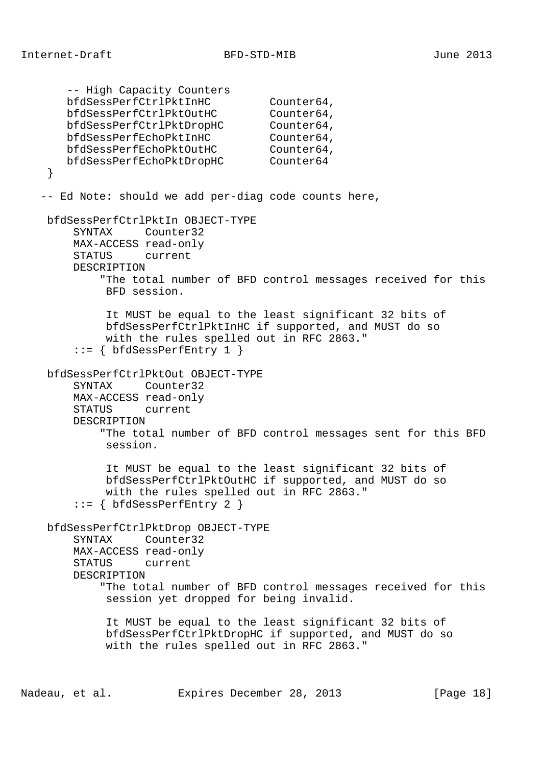```
 -- High Capacity Counters
bfdSessPerfCtrlPktInHC Counter64,
bfdSessPerfCtrlPktOutHC Counter64,
 bfdSessPerfCtrlPktDropHC Counter64,
bfdSessPerfEchoPktInHC Counter64,
bfdSessPerfEchoPktOutHC Counter64,
      counter64<br>bfdSessPerfEchoPktOutHC Counter64<br>bfdSessPerfEchoPktDropHC Counter64
    }
   -- Ed Note: should we add per-diag code counts here,
    bfdSessPerfCtrlPktIn OBJECT-TYPE
        SYNTAX Counter32
        MAX-ACCESS read-only
        STATUS current
        DESCRIPTION
            "The total number of BFD control messages received for this
             BFD session.
             It MUST be equal to the least significant 32 bits of
             bfdSessPerfCtrlPktInHC if supported, and MUST do so
             with the rules spelled out in RFC 2863."
        ::= { bfdSessPerfEntry 1 }
    bfdSessPerfCtrlPktOut OBJECT-TYPE
        SYNTAX Counter32
        MAX-ACCESS read-only
        STATUS current
        DESCRIPTION
             "The total number of BFD control messages sent for this BFD
             session.
             It MUST be equal to the least significant 32 bits of
             bfdSessPerfCtrlPktOutHC if supported, and MUST do so
             with the rules spelled out in RFC 2863."
        ::= { bfdSessPerfEntry 2 }
    bfdSessPerfCtrlPktDrop OBJECT-TYPE
        SYNTAX Counter32
        MAX-ACCESS read-only
        STATUS current
        DESCRIPTION
             "The total number of BFD control messages received for this
             session yet dropped for being invalid.
             It MUST be equal to the least significant 32 bits of
             bfdSessPerfCtrlPktDropHC if supported, and MUST do so
             with the rules spelled out in RFC 2863."
```
Nadeau, et al. **Expires December 28, 2013** [Page 18]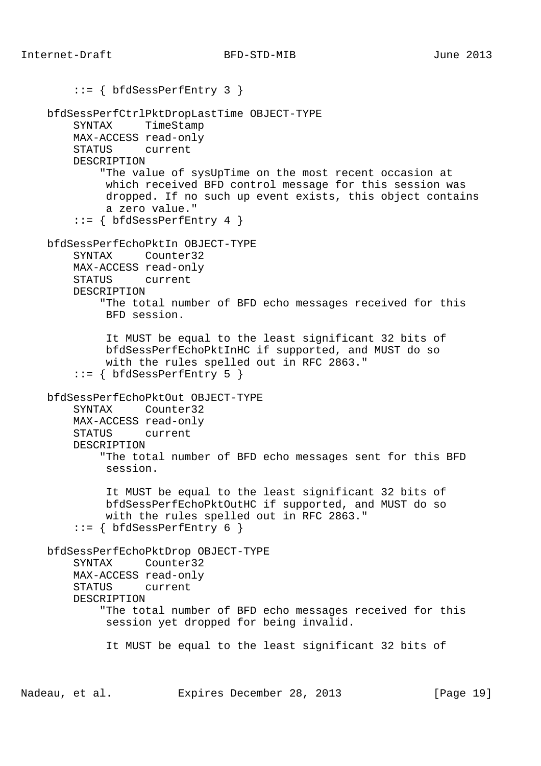```
 ::= { bfdSessPerfEntry 3 }
 bfdSessPerfCtrlPktDropLastTime OBJECT-TYPE
     SYNTAX TimeStamp
     MAX-ACCESS read-only
     STATUS current
     DESCRIPTION
         "The value of sysUpTime on the most recent occasion at
          which received BFD control message for this session was
          dropped. If no such up event exists, this object contains
          a zero value."
    ::= { bfdSessPerfEntry 4 }
 bfdSessPerfEchoPktIn OBJECT-TYPE
     SYNTAX Counter32
     MAX-ACCESS read-only
     STATUS current
     DESCRIPTION
         "The total number of BFD echo messages received for this
         BFD session.
          It MUST be equal to the least significant 32 bits of
          bfdSessPerfEchoPktInHC if supported, and MUST do so
          with the rules spelled out in RFC 2863."
     ::= { bfdSessPerfEntry 5 }
 bfdSessPerfEchoPktOut OBJECT-TYPE
     SYNTAX Counter32
     MAX-ACCESS read-only
     STATUS current
     DESCRIPTION
         "The total number of BFD echo messages sent for this BFD
         session.
          It MUST be equal to the least significant 32 bits of
          bfdSessPerfEchoPktOutHC if supported, and MUST do so
          with the rules spelled out in RFC 2863."
    ::= { bfdSessPerfEntry 6 }
 bfdSessPerfEchoPktDrop OBJECT-TYPE
     SYNTAX Counter32
     MAX-ACCESS read-only
     STATUS current
     DESCRIPTION
         "The total number of BFD echo messages received for this
          session yet dropped for being invalid.
          It MUST be equal to the least significant 32 bits of
```
Nadeau, et al. **Expires December 28, 2013** [Page 19]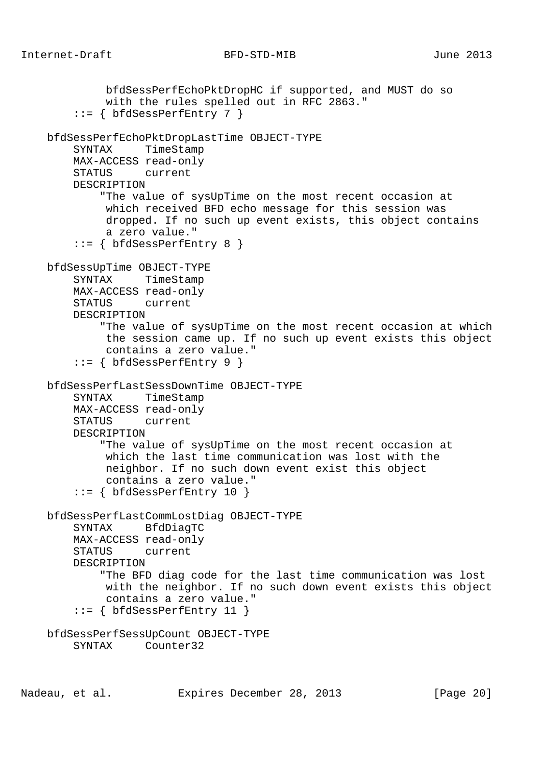bfdSessPerfEchoPktDropHC if supported, and MUST do so with the rules spelled out in RFC 2863." ::= { bfdSessPerfEntry 7 } bfdSessPerfEchoPktDropLastTime OBJECT-TYPE SYNTAX TimeStamp MAX-ACCESS read-only STATUS current DESCRIPTION "The value of sysUpTime on the most recent occasion at which received BFD echo message for this session was dropped. If no such up event exists, this object contains a zero value."  $::=$  { bfdSessPerfEntry 8 } bfdSessUpTime OBJECT-TYPE SYNTAX TimeStamp MAX-ACCESS read-only STATUS current DESCRIPTION "The value of sysUpTime on the most recent occasion at which the session came up. If no such up event exists this object contains a zero value." ::= { bfdSessPerfEntry 9 } bfdSessPerfLastSessDownTime OBJECT-TYPE SYNTAX TimeStamp MAX-ACCESS read-only STATUS current DESCRIPTION "The value of sysUpTime on the most recent occasion at which the last time communication was lost with the neighbor. If no such down event exist this object contains a zero value."  $::=$  { bfdSessPerfEntry 10 } bfdSessPerfLastCommLostDiag OBJECT-TYPE SYNTAX BfdDiagTC MAX-ACCESS read-only STATUS current DESCRIPTION "The BFD diag code for the last time communication was lost with the neighbor. If no such down event exists this object contains a zero value." ::= { bfdSessPerfEntry 11 } bfdSessPerfSessUpCount OBJECT-TYPE SYNTAX Counter32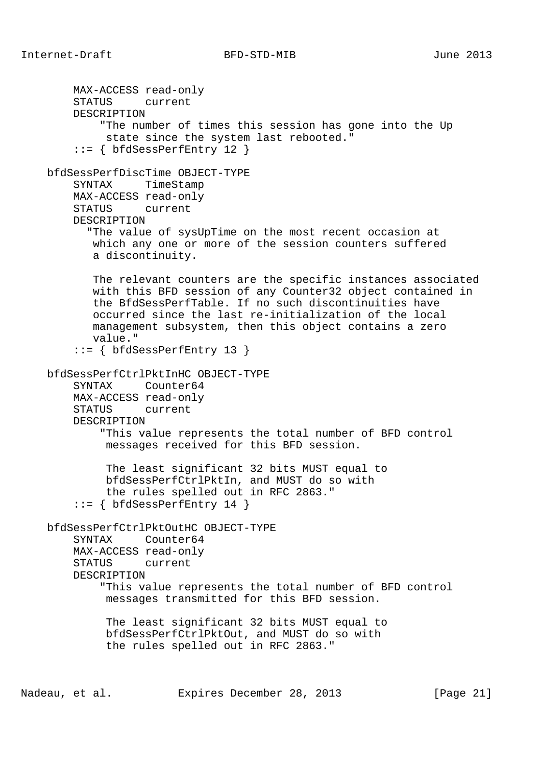MAX-ACCESS read-only STATUS current DESCRIPTION "The number of times this session has gone into the Up state since the system last rebooted." ::= { bfdSessPerfEntry 12 } bfdSessPerfDiscTime OBJECT-TYPE SYNTAX TimeStamp MAX-ACCESS read-only STATUS current DESCRIPTION "The value of sysUpTime on the most recent occasion at which any one or more of the session counters suffered a discontinuity. The relevant counters are the specific instances associated with this BFD session of any Counter32 object contained in the BfdSessPerfTable. If no such discontinuities have occurred since the last re-initialization of the local management subsystem, then this object contains a zero value." ::= { bfdSessPerfEntry 13 } bfdSessPerfCtrlPktInHC OBJECT-TYPE SYNTAX Counter64 MAX-ACCESS read-only STATUS current DESCRIPTION "This value represents the total number of BFD control messages received for this BFD session. The least significant 32 bits MUST equal to bfdSessPerfCtrlPktIn, and MUST do so with the rules spelled out in RFC 2863." ::= { bfdSessPerfEntry 14 } bfdSessPerfCtrlPktOutHC OBJECT-TYPE SYNTAX Counter64 MAX-ACCESS read-only STATUS current DESCRIPTION "This value represents the total number of BFD control messages transmitted for this BFD session. The least significant 32 bits MUST equal to bfdSessPerfCtrlPktOut, and MUST do so with the rules spelled out in RFC 2863."

Nadeau, et al. Expires December 28, 2013 [Page 21]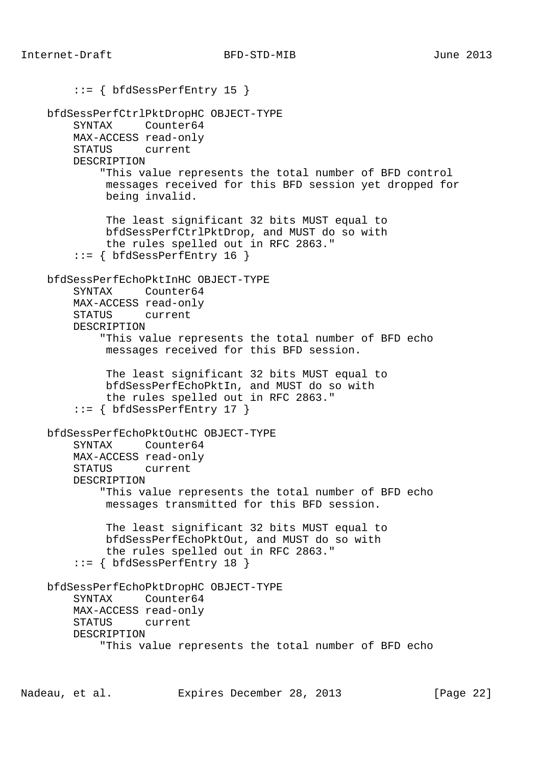```
 ::= { bfdSessPerfEntry 15 }
 bfdSessPerfCtrlPktDropHC OBJECT-TYPE
     SYNTAX Counter64
     MAX-ACCESS read-only
     STATUS current
     DESCRIPTION
         "This value represents the total number of BFD control
          messages received for this BFD session yet dropped for
          being invalid.
          The least significant 32 bits MUST equal to
          bfdSessPerfCtrlPktDrop, and MUST do so with
          the rules spelled out in RFC 2863."
    ::= { bfdSessPerfEntry 16 }
 bfdSessPerfEchoPktInHC OBJECT-TYPE
     SYNTAX Counter64
     MAX-ACCESS read-only
     STATUS current
     DESCRIPTION
         "This value represents the total number of BFD echo
          messages received for this BFD session.
          The least significant 32 bits MUST equal to
          bfdSessPerfEchoPktIn, and MUST do so with
          the rules spelled out in RFC 2863."
    ::= { bfdSessPerfEntry 17 }
 bfdSessPerfEchoPktOutHC OBJECT-TYPE
     SYNTAX Counter64
     MAX-ACCESS read-only
     STATUS current
     DESCRIPTION
         "This value represents the total number of BFD echo
          messages transmitted for this BFD session.
          The least significant 32 bits MUST equal to
          bfdSessPerfEchoPktOut, and MUST do so with
          the rules spelled out in RFC 2863."
    ::= { bfdSessPerfEntry 18 }
 bfdSessPerfEchoPktDropHC OBJECT-TYPE
     SYNTAX Counter64
     MAX-ACCESS read-only
     STATUS current
     DESCRIPTION
         "This value represents the total number of BFD echo
```
Nadeau, et al. **Expires December 28, 2013** [Page 22]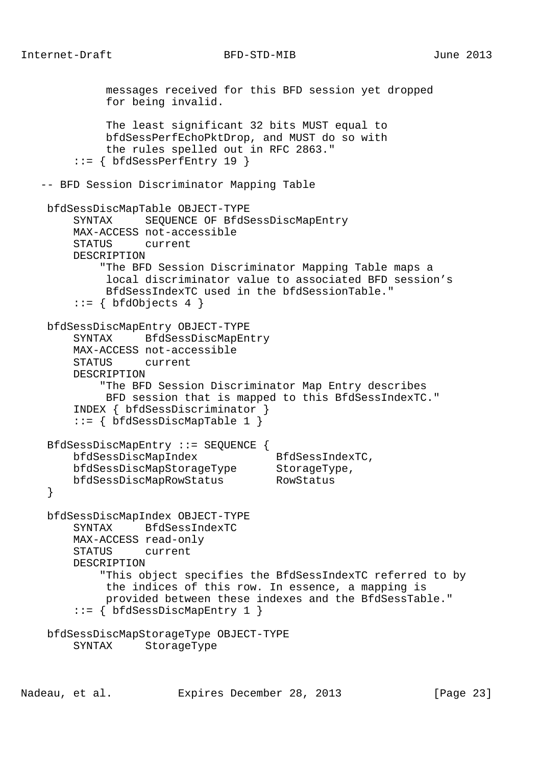```
 messages received for this BFD session yet dropped
             for being invalid.
             The least significant 32 bits MUST equal to
             bfdSessPerfEchoPktDrop, and MUST do so with
             the rules spelled out in RFC 2863."
        ::= { bfdSessPerfEntry 19 }
   -- BFD Session Discriminator Mapping Table
    bfdSessDiscMapTable OBJECT-TYPE
        SYNTAX SEQUENCE OF BfdSessDiscMapEntry
        MAX-ACCESS not-accessible
        STATUS current
        DESCRIPTION
            "The BFD Session Discriminator Mapping Table maps a
             local discriminator value to associated BFD session's
             BfdSessIndexTC used in the bfdSessionTable."
       ::= { bfdObjects 4 }
    bfdSessDiscMapEntry OBJECT-TYPE
        SYNTAX BfdSessDiscMapEntry
        MAX-ACCESS not-accessible
        STATUS current
        DESCRIPTION
            "The BFD Session Discriminator Map Entry describes
             BFD session that is mapped to this BfdSessIndexTC."
        INDEX { bfdSessDiscriminator }
        ::= { bfdSessDiscMapTable 1 }
    BfdSessDiscMapEntry ::= SEQUENCE {
        bfdSessDiscMapIndex BfdSessIndexTC,
bfdSessDiscMapStorageType StorageType,
 bfdSessDiscMapRowStatus RowStatus
    }
    bfdSessDiscMapIndex OBJECT-TYPE
        SYNTAX BfdSessIndexTC
        MAX-ACCESS read-only
        STATUS current
        DESCRIPTION
            "This object specifies the BfdSessIndexTC referred to by
             the indices of this row. In essence, a mapping is
             provided between these indexes and the BfdSessTable."
        ::= { bfdSessDiscMapEntry 1 }
    bfdSessDiscMapStorageType OBJECT-TYPE
        SYNTAX StorageType
```
Nadeau, et al. **Expires December 28, 2013** [Page 23]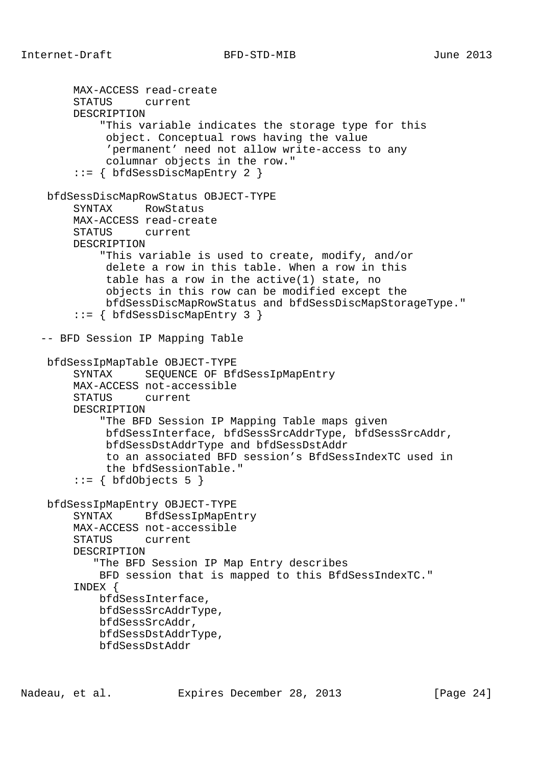```
 MAX-ACCESS read-create
      STATUS current
      DESCRIPTION
          "This variable indicates the storage type for this
           object. Conceptual rows having the value
           'permanent' need not allow write-access to any
           columnar objects in the row."
      ::= { bfdSessDiscMapEntry 2 }
 bfdSessDiscMapRowStatus OBJECT-TYPE
      SYNTAX RowStatus
      MAX-ACCESS read-create
      STATUS current
      DESCRIPTION
          "This variable is used to create, modify, and/or
           delete a row in this table. When a row in this
           table has a row in the active(1) state, no
           objects in this row can be modified except the
           bfdSessDiscMapRowStatus and bfdSessDiscMapStorageType."
      ::= { bfdSessDiscMapEntry 3 }
 -- BFD Session IP Mapping Table
 bfdSessIpMapTable OBJECT-TYPE
      SYNTAX SEQUENCE OF BfdSessIpMapEntry
      MAX-ACCESS not-accessible
      STATUS current
      DESCRIPTION
          "The BFD Session IP Mapping Table maps given
           bfdSessInterface, bfdSessSrcAddrType, bfdSessSrcAddr,
           bfdSessDstAddrType and bfdSessDstAddr
           to an associated BFD session's BfdSessIndexTC used in
           the bfdSessionTable."
     ::= { bfdObjects 5 }
 bfdSessIpMapEntry OBJECT-TYPE
      SYNTAX BfdSessIpMapEntry
      MAX-ACCESS not-accessible
      STATUS current
      DESCRIPTION
         "The BFD Session IP Map Entry describes
          BFD session that is mapped to this BfdSessIndexTC."
      INDEX {
          bfdSessInterface,
          bfdSessSrcAddrType,
          bfdSessSrcAddr,
          bfdSessDstAddrType,
          bfdSessDstAddr
```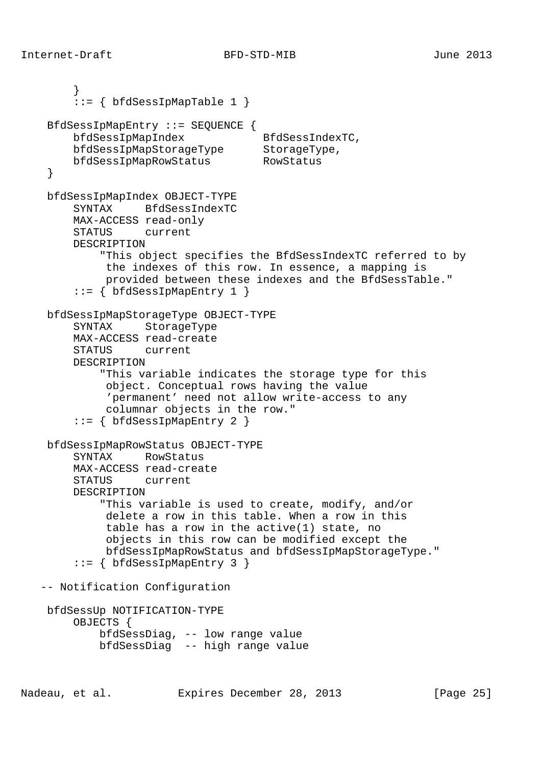```
 }
       ::= \{ bfdSessIpMapTable 1 \} BfdSessIpMapEntry ::= SEQUENCE {
bfdSessIpMapIndex BfdSessIndexTC,
 bfdSessIpMapStorageType StorageType,
 bfdSessIpMapRowStatus RowStatus
    }
    bfdSessIpMapIndex OBJECT-TYPE
        SYNTAX BfdSessIndexTC
        MAX-ACCESS read-only
        STATUS current
        DESCRIPTION
            "This object specifies the BfdSessIndexTC referred to by
             the indexes of this row. In essence, a mapping is
             provided between these indexes and the BfdSessTable."
       ::= \{ bfdSessIpMapEntry 1 \} bfdSessIpMapStorageType OBJECT-TYPE
        SYNTAX StorageType
        MAX-ACCESS read-create
        STATUS current
        DESCRIPTION
            "This variable indicates the storage type for this
             object. Conceptual rows having the value
             'permanent' need not allow write-access to any
             columnar objects in the row."
        ::= { bfdSessIpMapEntry 2 }
    bfdSessIpMapRowStatus OBJECT-TYPE
        SYNTAX RowStatus
        MAX-ACCESS read-create
        STATUS current
        DESCRIPTION
            "This variable is used to create, modify, and/or
             delete a row in this table. When a row in this
             table has a row in the active(1) state, no
             objects in this row can be modified except the
             bfdSessIpMapRowStatus and bfdSessIpMapStorageType."
       ::= { bfdSessIpMapEntry 3 }
   -- Notification Configuration
    bfdSessUp NOTIFICATION-TYPE
        OBJECTS {
            bfdSessDiag, -- low range value
            bfdSessDiag -- high range value
```
Nadeau, et al. **Expires December 28, 2013** [Page 25]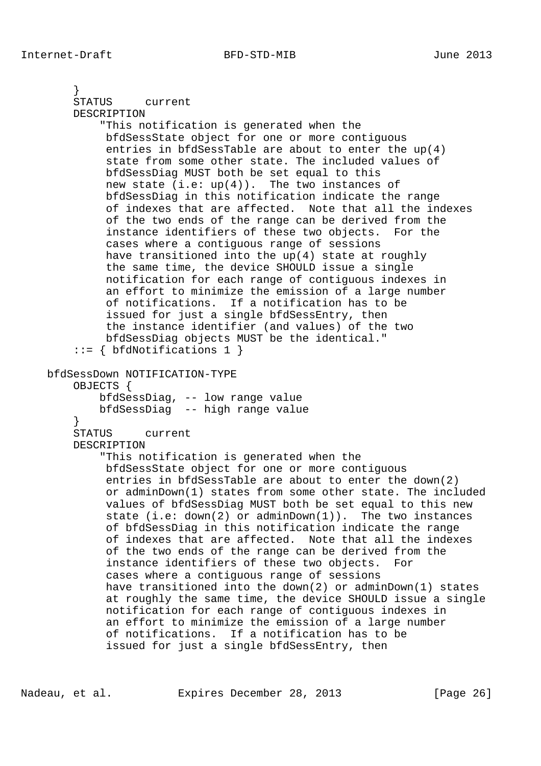```
 }
     STATUS current
     DESCRIPTION
         "This notification is generated when the
          bfdSessState object for one or more contiguous
          entries in bfdSessTable are about to enter the up(4)
          state from some other state. The included values of
          bfdSessDiag MUST both be set equal to this
         new state (i.e: up(4)). The two instances of
          bfdSessDiag in this notification indicate the range
          of indexes that are affected. Note that all the indexes
          of the two ends of the range can be derived from the
          instance identifiers of these two objects. For the
          cases where a contiguous range of sessions
          have transitioned into the up(4) state at roughly
          the same time, the device SHOULD issue a single
          notification for each range of contiguous indexes in
          an effort to minimize the emission of a large number
          of notifications. If a notification has to be
          issued for just a single bfdSessEntry, then
          the instance identifier (and values) of the two
          bfdSessDiag objects MUST be the identical."
     ::= { bfdNotifications 1 }
 bfdSessDown NOTIFICATION-TYPE
     OBJECTS {
         bfdSessDiag, -- low range value
         bfdSessDiag -- high range value
     }
     STATUS current
     DESCRIPTION
         "This notification is generated when the
          bfdSessState object for one or more contiguous
          entries in bfdSessTable are about to enter the down(2)
          or adminDown(1) states from some other state. The included
          values of bfdSessDiag MUST both be set equal to this new
          state (i.e: down(2) or adminDown(1)). The two instances
          of bfdSessDiag in this notification indicate the range
          of indexes that are affected. Note that all the indexes
          of the two ends of the range can be derived from the
          instance identifiers of these two objects. For
          cases where a contiguous range of sessions
          have transitioned into the down(2) or adminDown(1) states
          at roughly the same time, the device SHOULD issue a single
          notification for each range of contiguous indexes in
          an effort to minimize the emission of a large number
          of notifications. If a notification has to be
          issued for just a single bfdSessEntry, then
```
Nadeau, et al. **Expires December 28, 2013** [Page 26]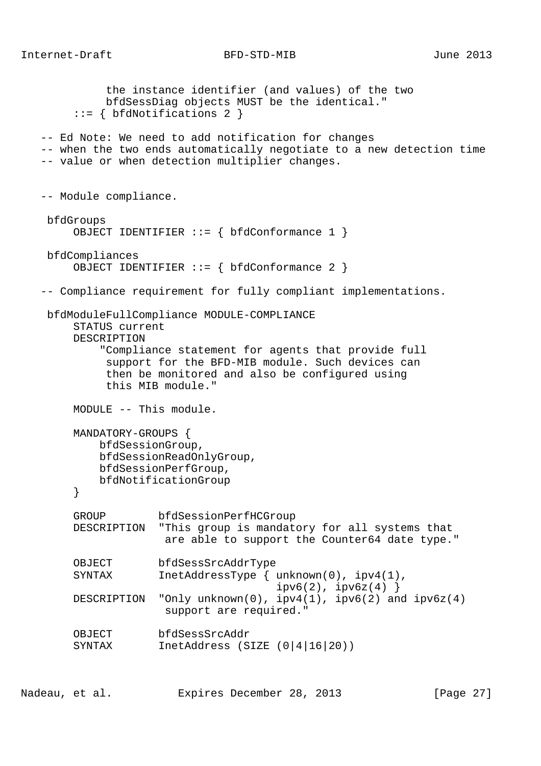the instance identifier (and values) of the two bfdSessDiag objects MUST be the identical." ::= { bfdNotifications 2 } -- Ed Note: We need to add notification for changes -- when the two ends automatically negotiate to a new detection time -- value or when detection multiplier changes. -- Module compliance. bfdGroups OBJECT IDENTIFIER ::= { bfdConformance 1 } bfdCompliances OBJECT IDENTIFIER ::= { bfdConformance 2 } -- Compliance requirement for fully compliant implementations. bfdModuleFullCompliance MODULE-COMPLIANCE STATUS current DESCRIPTION "Compliance statement for agents that provide full support for the BFD-MIB module. Such devices can then be monitored and also be configured using this MIB module." MODULE -- This module. MANDATORY-GROUPS { bfdSessionGroup, bfdSessionReadOnlyGroup, bfdSessionPerfGroup, bfdNotificationGroup } GROUP bfdSessionPerfHCGroup DESCRIPTION "This group is mandatory for all systems that are able to support the Counter64 date type." OBJECT bfdSessSrcAddrType SYNTAX InetAddressType { unknown(0), ipv4(1),  $ipv6(2)$ ,  $ipv6z(4)$  } DESCRIPTION "Only unknown(0),  $ipv4(1)$ ,  $ipv6(2)$  and  $ipv6z(4)$  support are required." OBJECT bfdSessSrcAddr SYNTAX InetAddress (SIZE (0|4|16|20))

Nadeau, et al. Expires December 28, 2013 [Page 27]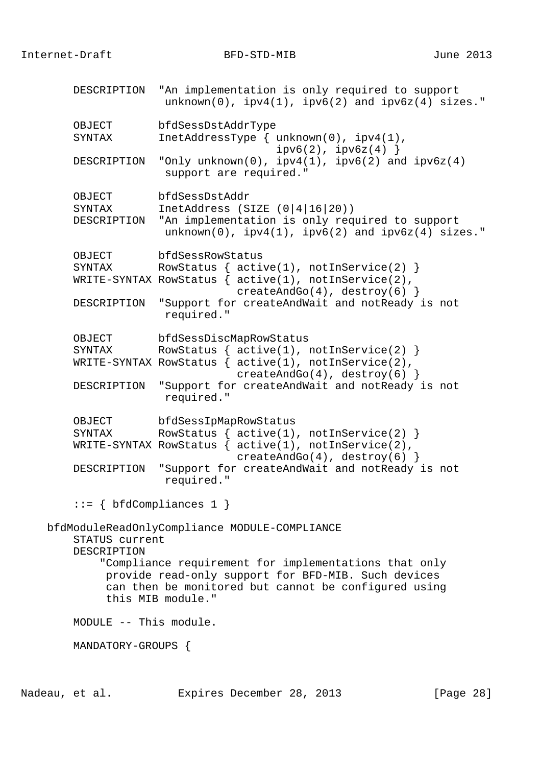DESCRIPTION "An implementation is only required to support  $unknown(0)$ ,  $ipv4(1)$ ,  $ipv6(2)$  and  $ipv6z(4)$  sizes." OBJECT bfdSessDstAddrType SYNTAX InetAddressType { unknown(0), ipv4(1),  $ipv6(2)$ ,  $ipv6z(4)$  } DESCRIPTION "Only unknown(0), ipv4(1), ipv6(2) and ipv6z(4) support are required." OBJECT bfdSessDstAddr<br>SYNTAX InetAddress (S) InetAddress (SIZE  $(0|4|16|20)$ ) DESCRIPTION "An implementation is only required to support unknown(0), ipv4(1), ipv6(2) and ipv6z(4) sizes." OBJECT bfdSessRowStatus SYNTAX RowStatus  $\{$  active(1), notInService(2)  $\}$  WRITE-SYNTAX RowStatus { active(1), notInService(2), createAndGo(4), destroy(6) } DESCRIPTION "Support for createAndWait and notReady is not required." OBJECT bfdSessDiscMapRowStatus SYNTAX RowStatus {  $active(1)$ ,  $notInService(2)$  } WRITE-SYNTAX RowStatus  $\int$  active(1), notInService(2), createAndGo(4), destroy(6) } DESCRIPTION "Support for createAndWait and notReady is not required." OBJECT bfdSessIpMapRowStatus SYNTAX RowStatus {  $active(1)$ ,  $notInService(2)$  } WRITE-SYNTAX RowStatus { active(1), notInService(2), createAndGo(4), destroy(6)  $\}$  DESCRIPTION "Support for createAndWait and notReady is not required."  $::= \{ bfdCompliances 1 \}$  bfdModuleReadOnlyCompliance MODULE-COMPLIANCE STATUS current DESCRIPTION "Compliance requirement for implementations that only provide read-only support for BFD-MIB. Such devices can then be monitored but cannot be configured using this MIB module." MODULE -- This module. MANDATORY-GROUPS {

Nadeau, et al. **Expires December 28, 2013** [Page 28]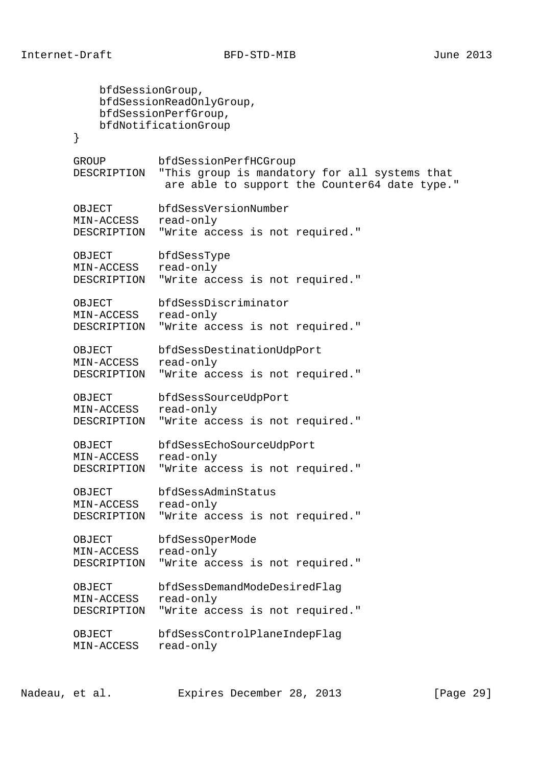```
 bfdSessionGroup,
           bfdSessionReadOnlyGroup,
           bfdSessionPerfGroup,
           bfdNotificationGroup
        }
        GROUP bfdSessionPerfHCGroup
        DESCRIPTION "This group is mandatory for all systems that
                   are able to support the Counter64 date type."
 OBJECT bfdSessVersionNumber
 MIN-ACCESS read-only
        DESCRIPTION "Write access is not required."
        OBJECT bfdSessType
        MIN-ACCESS read-only
        DESCRIPTION "Write access is not required."
        OBJECT bfdSessDiscriminator
        MIN-ACCESS read-only
       DESCRIPTION "Write access is not required."
 OBJECT bfdSessDestinationUdpPort
 MIN-ACCESS read-only
        DESCRIPTION "Write access is not required."
        OBJECT bfdSessSourceUdpPort
        MIN-ACCESS read-only
        DESCRIPTION "Write access is not required."
        OBJECT bfdSessEchoSourceUdpPort
        MIN-ACCESS read-only
        DESCRIPTION "Write access is not required."
 OBJECT bfdSessAdminStatus
 MIN-ACCESS read-only
        DESCRIPTION "Write access is not required."
        OBJECT bfdSessOperMode
        MIN-ACCESS read-only
        DESCRIPTION "Write access is not required."
 OBJECT bfdSessDemandModeDesiredFlag
 MIN-ACCESS read-only
       DESCRIPTION "Write access is not required."
        OBJECT bfdSessControlPlaneIndepFlag
       MIN-ACCESS read-only
```
Nadeau, et al. **Expires December 28, 2013** [Page 29]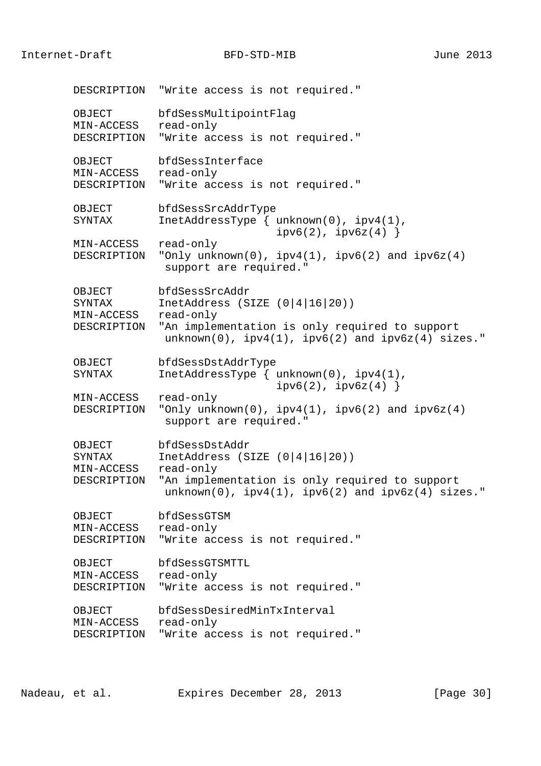Internet-Draft BFD-STD-MIB June 2013

 DESCRIPTION "Write access is not required." OBJECT bfdSessMultipointFlag MIN-ACCESS read-only DESCRIPTION "Write access is not required." OBJECT bfdSessInterface MIN-ACCESS read-only DESCRIPTION "Write access is not required." OBJECT bfdSessSrcAddrType SYNTAX InetAddressType { unknown(0), ipv4(1),  $ipv6(2)$ ,  $ipv6z(4)$  } MIN-ACCESS read-only DESCRIPTION "Only unknown(0),  $ipv4(1)$ ,  $ipv6(2)$  and  $ipv6z(4)$ support are required." OBJECT bfdSessSrcAddr<br>SYNTAX InetAddress (S InetAddress (SIZE  $(0|4|16|20)$ ) MIN-ACCESS read-only DESCRIPTION "An implementation is only required to support  $unknown(0)$ ,  $ipv4(1)$ ,  $ipv6(2)$  and  $ipv6z(4)$  sizes." OBJECT bfdSessDstAddrType SYNTAX InetAddressType { unknown(0), ipv4(1),  $ipv6(2)$ ,  $ipv6z(4)$  } MIN-ACCESS read-only DESCRIPTION "Only unknown(0), ipv4(1), ipv6(2) and ipv6z(4) support are required." OBJECT bfdSessDstAddr SYNTAX InetAddress (SIZE (0|4|16|20)) MIN-ACCESS read-only DESCRIPTION "An implementation is only required to support  $unknown(0)$ ,  $ipv4(1)$ ,  $ipv6(2)$  and  $ipv6z(4)$  sizes." OBJECT bfdSessGTSM MIN-ACCESS read-only DESCRIPTION "Write access is not required." OBJECT bfdSessGTSMTTL MIN-ACCESS read-only DESCRIPTION "Write access is not required." OBJECT bfdSessDesiredMinTxInterval MIN-ACCESS read-only DESCRIPTION "Write access is not required."

Nadeau, et al. **Expires December 28, 2013** [Page 30]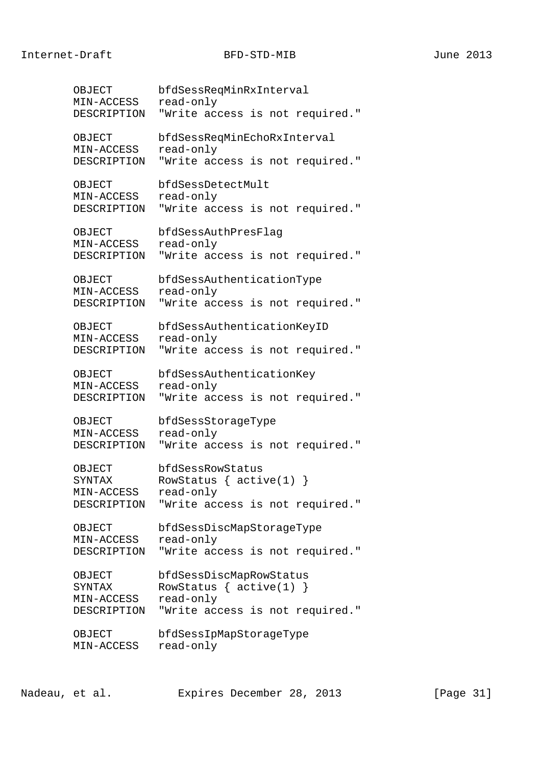OBJECT bfdSessReqMinRxInterval MIN-ACCESS read-only DESCRIPTION "Write access is not required." OBJECT bfdSessReqMinEchoRxInterval MIN-ACCESS read-only DESCRIPTION "Write access is not required." OBJECT bfdSessDetectMult MIN-ACCESS read-only DESCRIPTION "Write access is not required." OBJECT bfdSessAuthPresFlag MIN-ACCESS read-only DESCRIPTION "Write access is not required." OBJECT bfdSessAuthenticationType MIN-ACCESS read-only DESCRIPTION "Write access is not required." OBJECT bfdSessAuthenticationKeyID MIN-ACCESS read-only DESCRIPTION "Write access is not required." OBJECT bfdSessAuthenticationKey MIN-ACCESS read-only DESCRIPTION "Write access is not required." OBJECT bfdSessStorageType MIN-ACCESS read-only DESCRIPTION "Write access is not required." OBJECT bfdSessRowStatus SYNTAX RowStatus { active(1) } MIN-ACCESS read-only DESCRIPTION "Write access is not required." OBJECT bfdSessDiscMapStorageType MIN-ACCESS read-only DESCRIPTION "Write access is not required." OBJECT bfdSessDiscMapRowStatus SYNTAX RowStatus { active(1) } MIN-ACCESS read-only DESCRIPTION "Write access is not required." OBJECT bfdSessIpMapStorageType MIN-ACCESS read-only

Nadeau, et al. Expires December 28, 2013 [Page 31]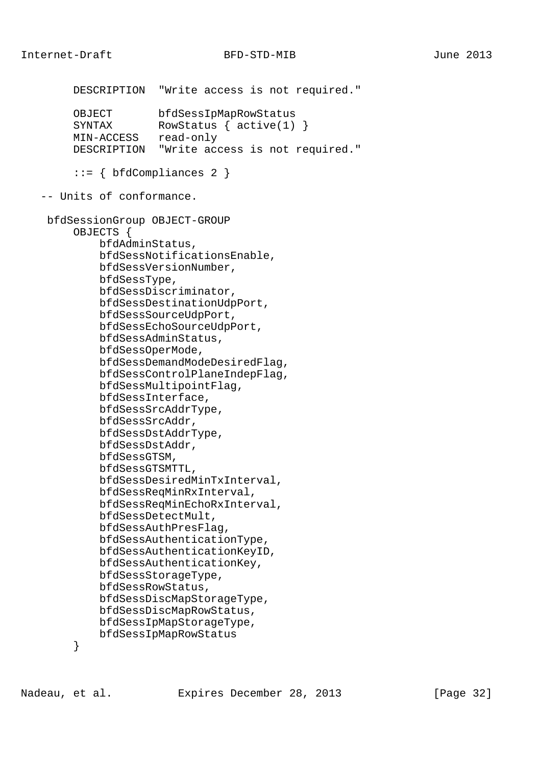```
 DESCRIPTION "Write access is not required."
     OBJECT bfdSessIpMapRowStatus<br>SYNTAX RowStatus { active(1)
                  RowStatus \{ active(1) \} MIN-ACCESS read-only
      DESCRIPTION "Write access is not required."
      ::= { bfdCompliances 2 }
 -- Units of conformance.
 bfdSessionGroup OBJECT-GROUP
      OBJECTS {
          bfdAdminStatus,
          bfdSessNotificationsEnable,
          bfdSessVersionNumber,
          bfdSessType,
          bfdSessDiscriminator,
          bfdSessDestinationUdpPort,
          bfdSessSourceUdpPort,
          bfdSessEchoSourceUdpPort,
          bfdSessAdminStatus,
          bfdSessOperMode,
          bfdSessDemandModeDesiredFlag,
          bfdSessControlPlaneIndepFlag,
          bfdSessMultipointFlag,
          bfdSessInterface,
          bfdSessSrcAddrType,
          bfdSessSrcAddr,
          bfdSessDstAddrType,
          bfdSessDstAddr,
          bfdSessGTSM,
          bfdSessGTSMTTL,
          bfdSessDesiredMinTxInterval,
          bfdSessReqMinRxInterval,
          bfdSessReqMinEchoRxInterval,
          bfdSessDetectMult,
          bfdSessAuthPresFlag,
          bfdSessAuthenticationType,
          bfdSessAuthenticationKeyID,
          bfdSessAuthenticationKey,
          bfdSessStorageType,
          bfdSessRowStatus,
          bfdSessDiscMapStorageType,
          bfdSessDiscMapRowStatus,
          bfdSessIpMapStorageType,
          bfdSessIpMapRowStatus
```
}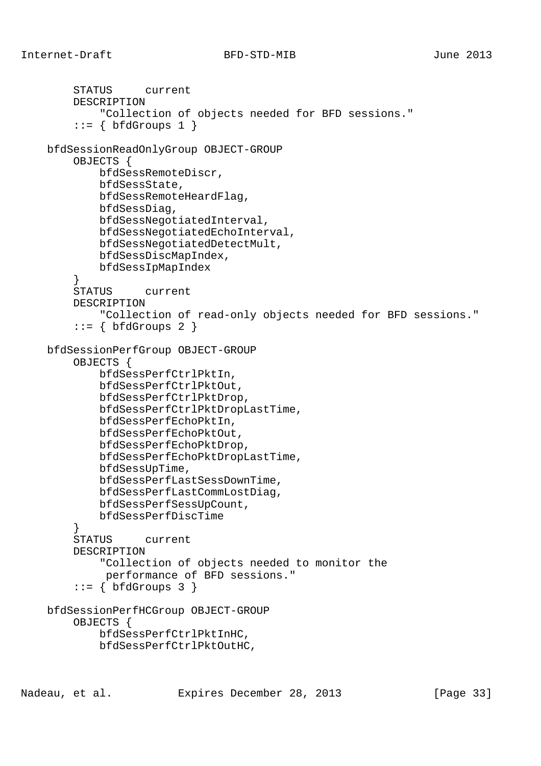```
 STATUS current
         DESCRIPTION
             "Collection of objects needed for BFD sessions."
        ::= \{ \text{bfGrows 1} \} bfdSessionReadOnlyGroup OBJECT-GROUP
         OBJECTS {
             bfdSessRemoteDiscr,
             bfdSessState,
             bfdSessRemoteHeardFlag,
             bfdSessDiag,
             bfdSessNegotiatedInterval,
             bfdSessNegotiatedEchoInterval,
             bfdSessNegotiatedDetectMult,
             bfdSessDiscMapIndex,
             bfdSessIpMapIndex
         }
         STATUS current
         DESCRIPTION
             "Collection of read-only objects needed for BFD sessions."
        ::= \{ \text{bfGrows } 2 \} bfdSessionPerfGroup OBJECT-GROUP
         OBJECTS {
             bfdSessPerfCtrlPktIn,
             bfdSessPerfCtrlPktOut,
             bfdSessPerfCtrlPktDrop,
             bfdSessPerfCtrlPktDropLastTime,
             bfdSessPerfEchoPktIn,
             bfdSessPerfEchoPktOut,
             bfdSessPerfEchoPktDrop,
             bfdSessPerfEchoPktDropLastTime,
             bfdSessUpTime,
             bfdSessPerfLastSessDownTime,
             bfdSessPerfLastCommLostDiag,
             bfdSessPerfSessUpCount,
             bfdSessPerfDiscTime
 }
         STATUS current
         DESCRIPTION
             "Collection of objects needed to monitor the
              performance of BFD sessions."
        ::= \{ \text{bfGrows } 3 \} bfdSessionPerfHCGroup OBJECT-GROUP
         OBJECTS {
             bfdSessPerfCtrlPktInHC,
             bfdSessPerfCtrlPktOutHC,
```
Nadeau, et al. Expires December 28, 2013 [Page 33]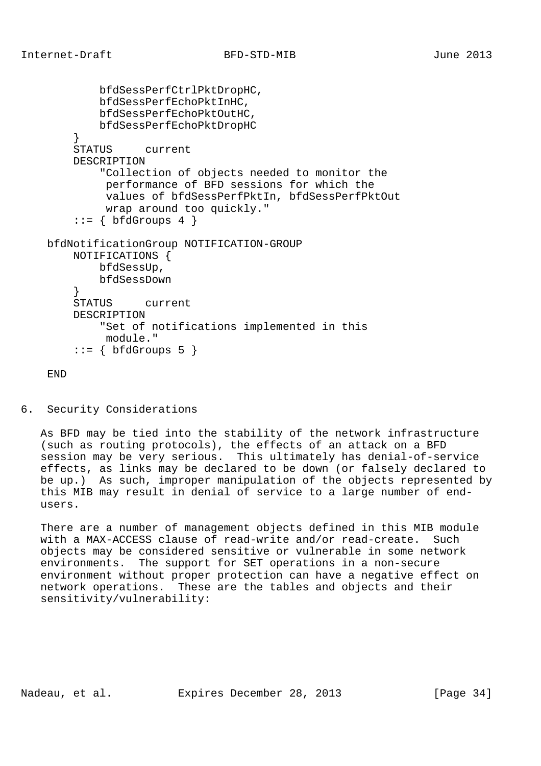```
 bfdSessPerfCtrlPktDropHC,
             bfdSessPerfEchoPktInHC,
             bfdSessPerfEchoPktOutHC,
             bfdSessPerfEchoPktDropHC
         }
         STATUS current
         DESCRIPTION
             "Collection of objects needed to monitor the
             performance of BFD sessions for which the
              values of bfdSessPerfPktIn, bfdSessPerfPktOut
              wrap around too quickly."
        ::= \{ bfdGroups 4 \} bfdNotificationGroup NOTIFICATION-GROUP
        NOTIFICATIONS {
            bfdSessUp,
             bfdSessDown
 }
         STATUS current
         DESCRIPTION
             "Set of notifications implemented in this
             module."
         ::= { bfdGroups 5 }
```
END

6. Security Considerations

 As BFD may be tied into the stability of the network infrastructure (such as routing protocols), the effects of an attack on a BFD session may be very serious. This ultimately has denial-of-service effects, as links may be declared to be down (or falsely declared to be up.) As such, improper manipulation of the objects represented by this MIB may result in denial of service to a large number of end users.

 There are a number of management objects defined in this MIB module with a MAX-ACCESS clause of read-write and/or read-create. Such objects may be considered sensitive or vulnerable in some network environments. The support for SET operations in a non-secure environment without proper protection can have a negative effect on network operations. These are the tables and objects and their sensitivity/vulnerability:

Nadeau, et al. **Expires December 28, 2013** [Page 34]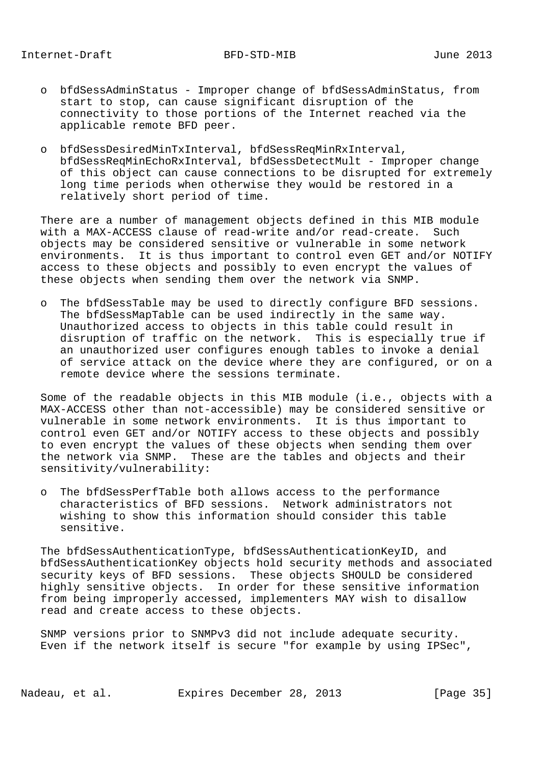- o bfdSessAdminStatus Improper change of bfdSessAdminStatus, from start to stop, can cause significant disruption of the connectivity to those portions of the Internet reached via the applicable remote BFD peer.
- o bfdSessDesiredMinTxInterval, bfdSessReqMinRxInterval, bfdSessReqMinEchoRxInterval, bfdSessDetectMult - Improper change of this object can cause connections to be disrupted for extremely long time periods when otherwise they would be restored in a relatively short period of time.

 There are a number of management objects defined in this MIB module with a MAX-ACCESS clause of read-write and/or read-create. Such objects may be considered sensitive or vulnerable in some network environments. It is thus important to control even GET and/or NOTIFY access to these objects and possibly to even encrypt the values of these objects when sending them over the network via SNMP.

 o The bfdSessTable may be used to directly configure BFD sessions. The bfdSessMapTable can be used indirectly in the same way. Unauthorized access to objects in this table could result in disruption of traffic on the network. This is especially true if an unauthorized user configures enough tables to invoke a denial of service attack on the device where they are configured, or on a remote device where the sessions terminate.

 Some of the readable objects in this MIB module (i.e., objects with a MAX-ACCESS other than not-accessible) may be considered sensitive or vulnerable in some network environments. It is thus important to control even GET and/or NOTIFY access to these objects and possibly to even encrypt the values of these objects when sending them over the network via SNMP. These are the tables and objects and their sensitivity/vulnerability:

 o The bfdSessPerfTable both allows access to the performance characteristics of BFD sessions. Network administrators not wishing to show this information should consider this table sensitive.

 The bfdSessAuthenticationType, bfdSessAuthenticationKeyID, and bfdSessAuthenticationKey objects hold security methods and associated security keys of BFD sessions. These objects SHOULD be considered highly sensitive objects. In order for these sensitive information from being improperly accessed, implementers MAY wish to disallow read and create access to these objects.

 SNMP versions prior to SNMPv3 did not include adequate security. Even if the network itself is secure "for example by using IPSec",

Nadeau, et al. **Expires December 28, 2013** [Page 35]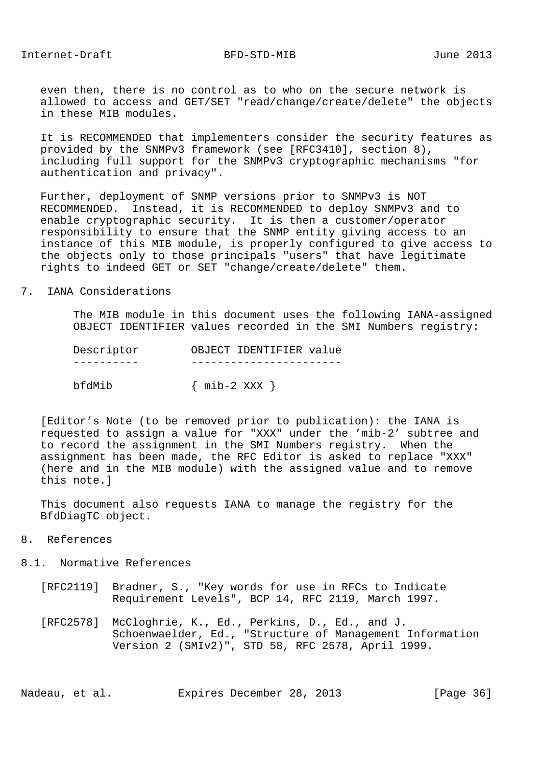even then, there is no control as to who on the secure network is allowed to access and GET/SET "read/change/create/delete" the objects in these MIB modules.

 It is RECOMMENDED that implementers consider the security features as provided by the SNMPv3 framework (see [RFC3410], section 8), including full support for the SNMPv3 cryptographic mechanisms "for authentication and privacy".

 Further, deployment of SNMP versions prior to SNMPv3 is NOT RECOMMENDED. Instead, it is RECOMMENDED to deploy SNMPv3 and to enable cryptographic security. It is then a customer/operator responsibility to ensure that the SNMP entity giving access to an instance of this MIB module, is properly configured to give access to the objects only to those principals "users" that have legitimate rights to indeed GET or SET "change/create/delete" them.

#### 7. IANA Considerations

 The MIB module in this document uses the following IANA-assigned OBJECT IDENTIFIER values recorded in the SMI Numbers registry:

| Descriptor | OBJECT IDENTIFIER value |
|------------|-------------------------|
|            |                         |
| bfdMib     | $\{$ mib-2 XXX $\}$     |

 [Editor's Note (to be removed prior to publication): the IANA is requested to assign a value for "XXX" under the 'mib-2' subtree and to record the assignment in the SMI Numbers registry. When the assignment has been made, the RFC Editor is asked to replace "XXX" (here and in the MIB module) with the assigned value and to remove this note.]

 This document also requests IANA to manage the registry for the BfdDiagTC object.

- 8. References
- 8.1. Normative References
	- [RFC2119] Bradner, S., "Key words for use in RFCs to Indicate Requirement Levels", BCP 14, RFC 2119, March 1997.
	- [RFC2578] McCloghrie, K., Ed., Perkins, D., Ed., and J. Schoenwaelder, Ed., "Structure of Management Information Version 2 (SMIv2)", STD 58, RFC 2578, April 1999.

Nadeau, et al. **Expires December 28, 2013** [Page 36]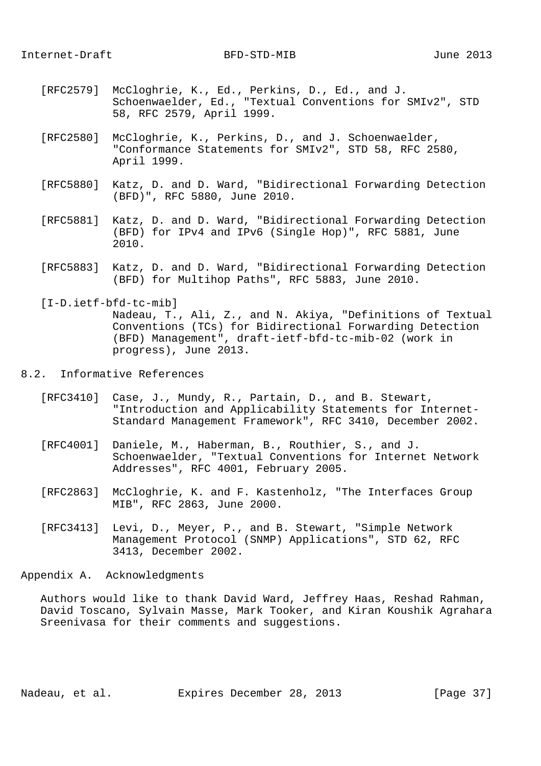- [RFC2579] McCloghrie, K., Ed., Perkins, D., Ed., and J. Schoenwaelder, Ed., "Textual Conventions for SMIv2", STD 58, RFC 2579, April 1999.
- [RFC2580] McCloghrie, K., Perkins, D., and J. Schoenwaelder, "Conformance Statements for SMIv2", STD 58, RFC 2580, April 1999.
- [RFC5880] Katz, D. and D. Ward, "Bidirectional Forwarding Detection (BFD)", RFC 5880, June 2010.
- [RFC5881] Katz, D. and D. Ward, "Bidirectional Forwarding Detection (BFD) for IPv4 and IPv6 (Single Hop)", RFC 5881, June 2010.
- [RFC5883] Katz, D. and D. Ward, "Bidirectional Forwarding Detection (BFD) for Multihop Paths", RFC 5883, June 2010.

 [I-D.ietf-bfd-tc-mib] Nadeau, T., Ali, Z., and N. Akiya, "Definitions of Textual Conventions (TCs) for Bidirectional Forwarding Detection (BFD) Management", draft-ietf-bfd-tc-mib-02 (work in progress), June 2013.

## 8.2. Informative References

- [RFC3410] Case, J., Mundy, R., Partain, D., and B. Stewart, "Introduction and Applicability Statements for Internet- Standard Management Framework", RFC 3410, December 2002.
- [RFC4001] Daniele, M., Haberman, B., Routhier, S., and J. Schoenwaelder, "Textual Conventions for Internet Network Addresses", RFC 4001, February 2005.
- [RFC2863] McCloghrie, K. and F. Kastenholz, "The Interfaces Group MIB", RFC 2863, June 2000.
- [RFC3413] Levi, D., Meyer, P., and B. Stewart, "Simple Network Management Protocol (SNMP) Applications", STD 62, RFC 3413, December 2002.

Appendix A. Acknowledgments

 Authors would like to thank David Ward, Jeffrey Haas, Reshad Rahman, David Toscano, Sylvain Masse, Mark Tooker, and Kiran Koushik Agrahara Sreenivasa for their comments and suggestions.

Nadeau, et al. **Expires December 28, 2013** [Page 37]